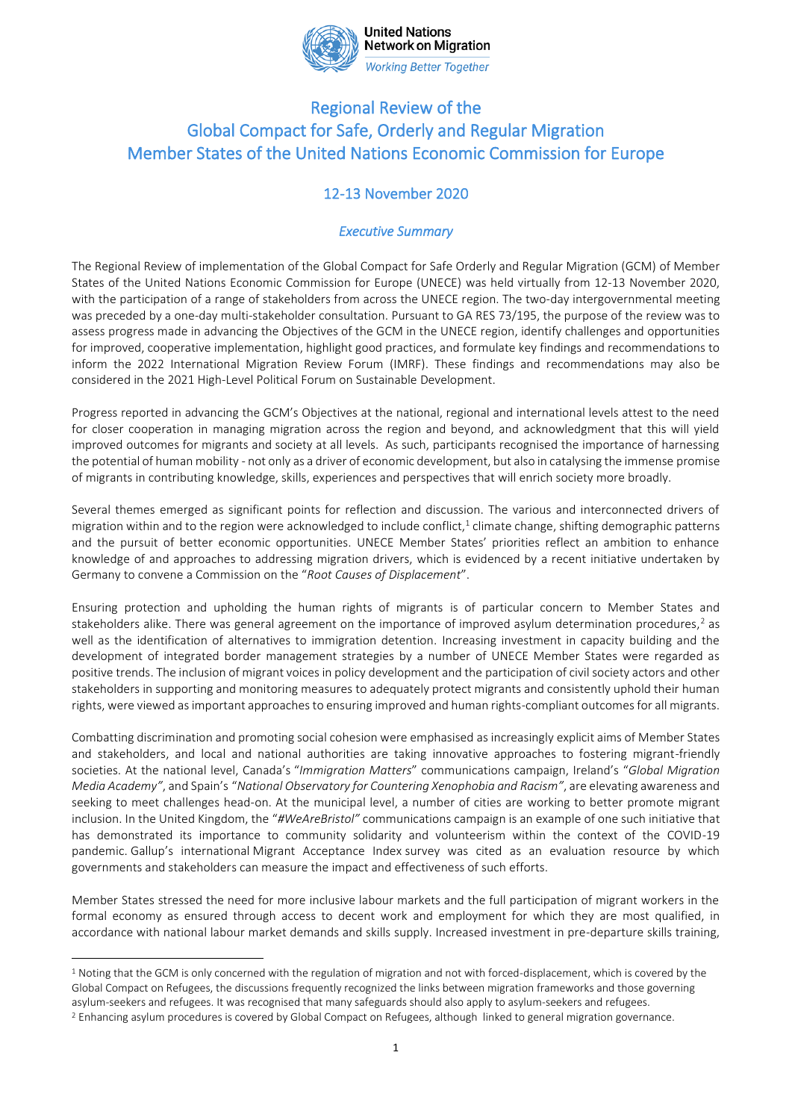

## **Working Better Together**

# Regional Review of the Global Compact for Safe, Orderly and Regular Migration Member States of the United Nations Economic Commission for Europe

# 12-13 November 2020

#### *Executive Summary*

The Regional Review of implementation of the Global Compact for Safe Orderly and Regular Migration (GCM) of Member States of the United Nations Economic Commission for Europe (UNECE) was held virtually from 12-13 November 2020, with the participation of a range of stakeholders from across the UNECE region. The two-day intergovernmental meeting was preceded by a one-day multi-stakeholder consultation. Pursuant to GA RES 73/195, the purpose of the review was to assess progress made in advancing the Objectives of the GCM in the UNECE region, identify challenges and opportunities for improved, cooperative implementation, highlight good practices, and formulate key findings and recommendations to inform the 2022 International Migration Review Forum (IMRF). These findings and recommendations may also be considered in the 2021 High-Level Political Forum on Sustainable Development.

Progress reported in advancing the GCM's Objectives at the national, regional and international levels attest to the need for closer cooperation in managing migration across the region and beyond, and acknowledgment that this will yield improved outcomes for migrants and society at all levels. As such, participants recognised the importance of harnessing the potential of human mobility - not only as a driver of economic development, but also in catalysing the immense promise of migrants in contributing knowledge, skills, experiences and perspectives that will enrich society more broadly.

Several themes emerged as significant points for reflection and discussion. The various and interconnected drivers of migration within and to the region were acknowledged to include conflict,<sup>1</sup> climate change, shifting demographic patterns and the pursuit of better economic opportunities. UNECE Member States' priorities reflect an ambition to enhance knowledge of and approaches to addressing migration drivers, which is evidenced by a recent initiative undertaken by Germany to convene a Commission on the "*Root Causes of Displacement*".

Ensuring protection and upholding the human rights of migrants is of particular concern to Member States and stakeholders alike. There was general agreement on the importance of improved asylum determination procedures,<sup>2</sup> as well as the identification of alternatives to immigration detention. Increasing investment in capacity building and the development of integrated border management strategies by a number of UNECE Member States were regarded as positive trends. The inclusion of migrant voices in policy development and the participation of civil society actors and other stakeholders in supporting and monitoring measures to adequately protect migrants and consistently uphold their human rights, were viewed as important approaches to ensuring improved and human rights-compliant outcomes for all migrants.

Combatting discrimination and promoting social cohesion were emphasised as increasingly explicit aims of Member States and stakeholders, and local and national authorities are taking innovative approaches to fostering migrant-friendly societies. At the national level, Canada's "*Immigration Matters*" communications campaign, Ireland's "*Global Migration Media Academy"*, and Spain's "*National Observatory for Countering Xenophobia and Racism"*, are elevating awareness and seeking to meet challenges head-on. At the municipal level, a number of cities are working to better promote migrant inclusion. In the United Kingdom, the "*#WeAreBristol"* communications campaign is an example of one such initiative that has demonstrated its importance to community solidarity and volunteerism within the context of the COVID-19 pandemic. Gallup's international Migrant Acceptance Index survey was cited as an evaluation resource by which governments and stakeholders can measure the impact and effectiveness of such efforts.

Member States stressed the need for more inclusive labour markets and the full participation of migrant workers in the formal economy as ensured through access to decent work and employment for which they are most qualified, in accordance with national labour market demands and skills supply. Increased investment in pre-departure skills training,

<sup>&</sup>lt;sup>1</sup> Noting that the GCM is only concerned with the regulation of migration and not with forced-displacement, which is covered by the Global Compact on Refugees, the discussions frequently recognized the links between migration frameworks and those governing asylum-seekers and refugees. It was recognised that many safeguards should also apply to asylum-seekers and refugees.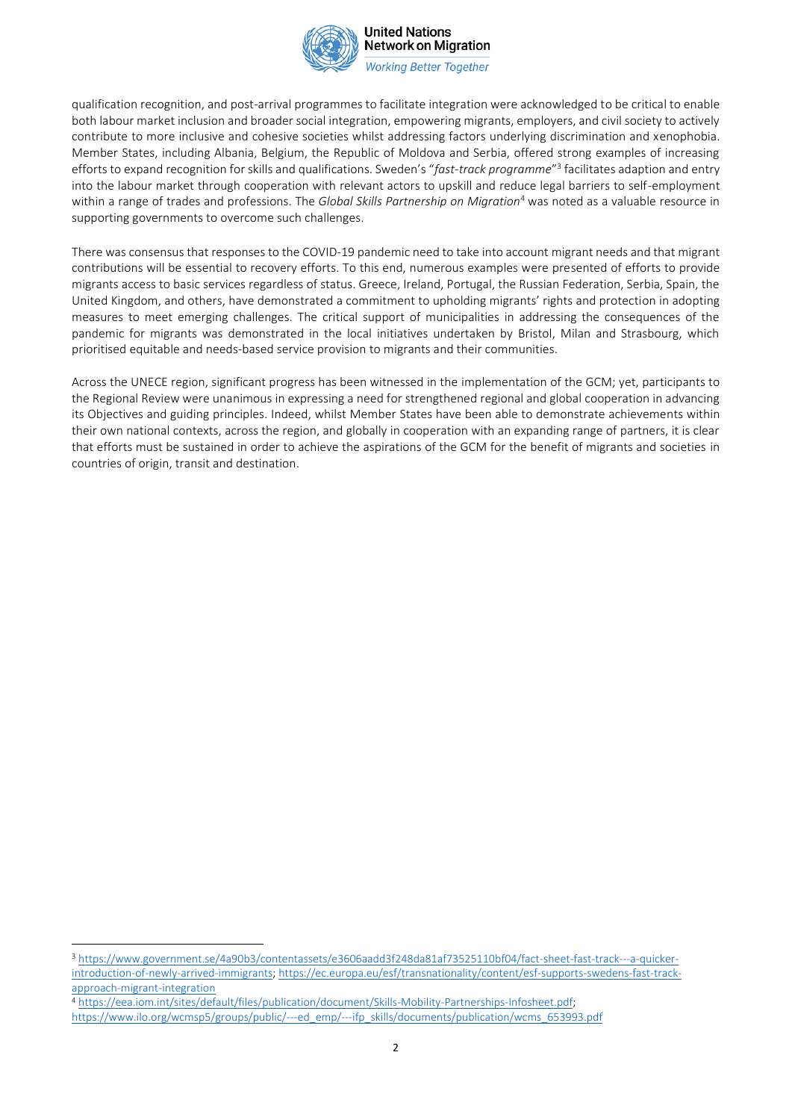

**Working Better Together** 

qualification recognition, and post-arrival programmes to facilitate integration were acknowledged to be critical to enable both labour market inclusion and broader social integration, empowering migrants, employers, and civil society to actively contribute to more inclusive and cohesive societies whilst addressing factors underlying discrimination and xenophobia. Member States, including Albania, Belgium, the Republic of Moldova and Serbia, offered strong examples of increasing efforts to expand recognition for skills and qualifications. Sweden's "*fast-track programme*" 3 facilitates adaption and entry into the labour market through cooperation with relevant actors to upskill and reduce legal barriers to self-employment within a range of trades and professions. The *Global Skills Partnership on Migration*<sup>4</sup> was noted as a valuable resource in supporting governments to overcome such challenges.

There was consensus that responses to the COVID-19 pandemic need to take into account migrant needs and that migrant contributions will be essential to recovery efforts. To this end, numerous examples were presented of efforts to provide migrants access to basic services regardless of status. Greece, Ireland, Portugal, the Russian Federation, Serbia, Spain, the United Kingdom, and others, have demonstrated a commitment to upholding migrants' rights and protection in adopting measures to meet emerging challenges. The critical support of municipalities in addressing the consequences of the pandemic for migrants was demonstrated in the local initiatives undertaken by Bristol, Milan and Strasbourg, which prioritised equitable and needs-based service provision to migrants and their communities.

Across the UNECE region, significant progress has been witnessed in the implementation of the GCM; yet, participants to the Regional Review were unanimous in expressing a need for strengthened regional and global cooperation in advancing its Objectives and guiding principles. Indeed, whilst Member States have been able to demonstrate achievements within their own national contexts, across the region, and globally in cooperation with an expanding range of partners, it is clear that efforts must be sustained in order to achieve the aspirations of the GCM for the benefit of migrants and societies in countries of origin, transit and destination.

<sup>3</sup> [https://www.government.se/4a90b3/contentassets/e3606aadd3f248da81af73525110bf04/fact-sheet-fast-track---a-quicker](https://www.government.se/4a90b3/contentassets/e3606aadd3f248da81af73525110bf04/fact-sheet-fast-track---a-quicker-introduction-of-newly-arrived-immigrants)[introduction-of-newly-arrived-immigrants;](https://www.government.se/4a90b3/contentassets/e3606aadd3f248da81af73525110bf04/fact-sheet-fast-track---a-quicker-introduction-of-newly-arrived-immigrants) [https://ec.europa.eu/esf/transnationality/content/esf-supports-swedens-fast-track](https://ec.europa.eu/esf/transnationality/content/esf-supports-swedens-fast-track-approach-migrant-integration)[approach-migrant-integration](https://ec.europa.eu/esf/transnationality/content/esf-supports-swedens-fast-track-approach-migrant-integration) 

<sup>4</sup> [https://eea.iom.int/sites/default/files/publication/document/Skills-Mobility-Partnerships-Infosheet.pdf;](https://eea.iom.int/sites/default/files/publication/document/Skills-Mobility-Partnerships-Infosheet.pdf) [https://www.ilo.org/wcmsp5/groups/public/---ed\\_emp/---ifp\\_skills/documents/publication/wcms\\_653993.pdf](https://www.ilo.org/wcmsp5/groups/public/---ed_emp/---ifp_skills/documents/publication/wcms_653993.pdf)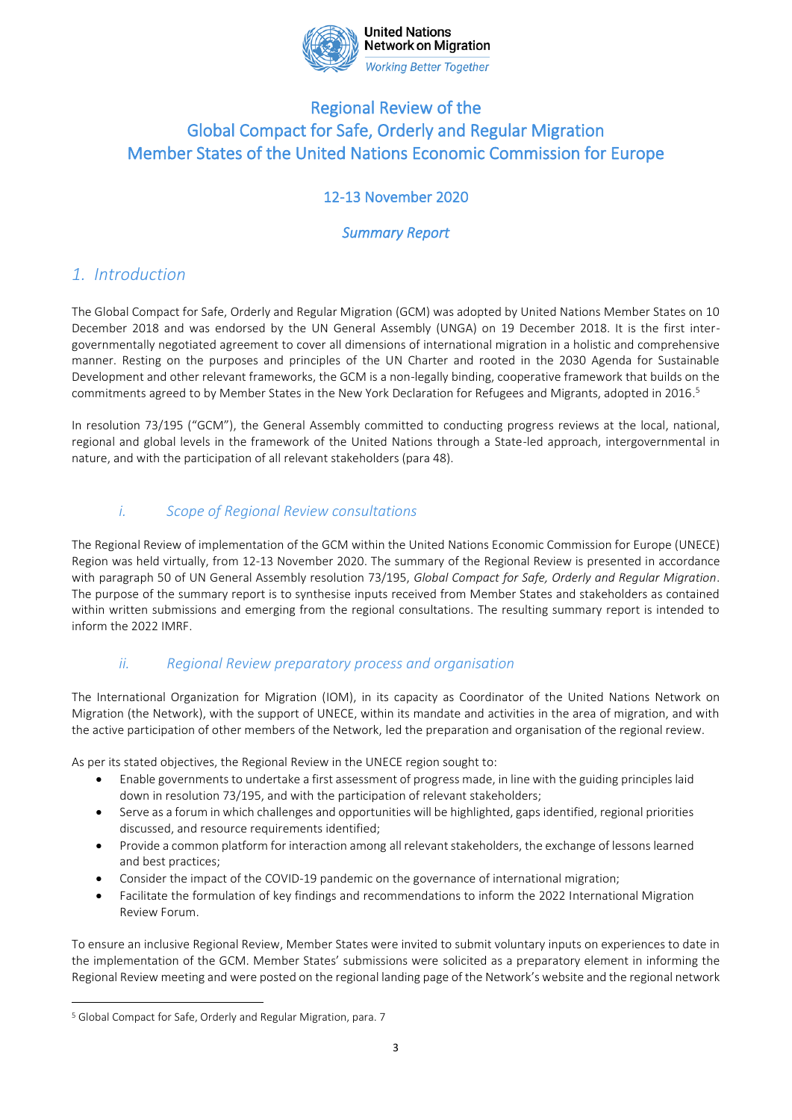

**United Nations Network on Migration Working Better Together** 

# Regional Review of the Global Compact for Safe, Orderly and Regular Migration Member States of the United Nations Economic Commission for Europe

# 12-13 November 2020

## *Summary Report*

# *1. Introduction*

The Global Compact for Safe, Orderly and Regular Migration (GCM) was adopted by United Nations Member States on 10 December 2018 and was endorsed by the UN General Assembly (UNGA) on 19 December 2018. It is the first intergovernmentally negotiated agreement to cover all dimensions of international migration in a holistic and comprehensive manner. Resting on the purposes and principles of the UN Charter and rooted in the 2030 Agenda for Sustainable Development and other relevant frameworks, the GCM is a non-legally binding, cooperative framework that builds on the commitments agreed to by Member States in the New York Declaration for Refugees and Migrants, adopted in 2016. 5

In resolution 73/195 ("GCM"), the General Assembly committed to conducting progress reviews at the local, national, regional and global levels in the framework of the United Nations through a State-led approach, intergovernmental in nature, and with the participation of all relevant stakeholders (para 48).

### *i. Scope of Regional Review consultations*

The Regional Review of implementation of the GCM within the United Nations Economic Commission for Europe (UNECE) Region was held virtually, from 12-13 November 2020. The summary of the Regional Review is presented in accordance with paragraph 50 of UN General Assembly resolution 73/195, *Global Compact for Safe, Orderly and Regular Migration*. The purpose of the summary report is to synthesise inputs received from Member States and stakeholders as contained within written submissions and emerging from the regional consultations. The resulting summary report is intended to inform the 2022 IMRF.

### *ii. Regional Review preparatory process and organisation*

The International Organization for Migration (IOM), in its capacity as Coordinator of the United Nations Network on Migration (the Network), with the support of UNECE, within its mandate and activities in the area of migration, and with the active participation of other members of the Network, led the preparation and organisation of the regional review.

As per its stated objectives, the Regional Review in the UNECE region sought to:

- Enable governments to undertake a first assessment of progress made, in line with the guiding principles laid down in resolution 73/195, and with the participation of relevant stakeholders;
- Serve as a forum in which challenges and opportunities will be highlighted, gaps identified, regional priorities discussed, and resource requirements identified;
- Provide a common platform for interaction among all relevant stakeholders, the exchange of lessons learned and best practices;
- Consider the impact of the COVID-19 pandemic on the governance of international migration;
- Facilitate the formulation of key findings and recommendations to inform the 2022 International Migration Review Forum.

To ensure an inclusive Regional Review, Member States were invited to submit voluntary inputs on experiences to date in the implementation of the GCM. Member States' submissions were solicited as a preparatory element in informing the Regional Review meeting and were posted on the regional landing page of the Network's website and the regional network

<sup>5</sup> Global Compact for Safe, Orderly and Regular Migration, para. 7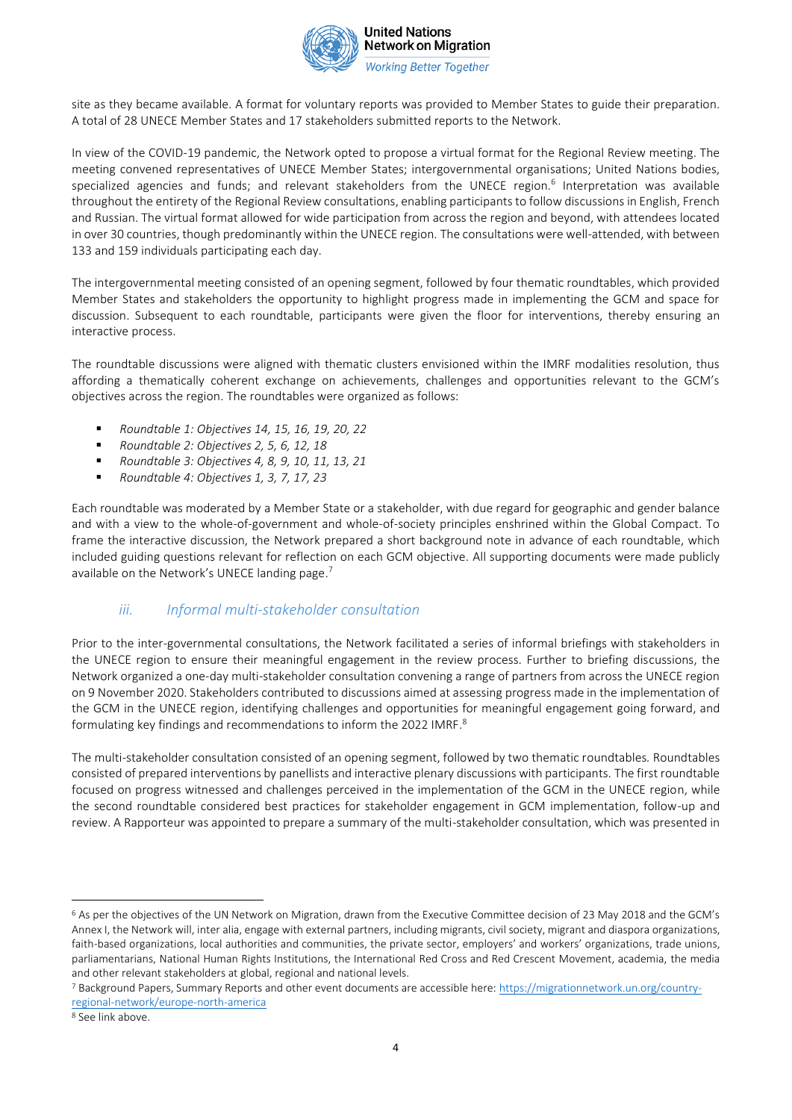

**Working Better Together** 

site as they became available. A format for voluntary reports was provided to Member States to guide their preparation. A total of 28 UNECE Member States and 17 stakeholders submitted reports to the Network.

In view of the COVID-19 pandemic, the Network opted to propose a virtual format for the Regional Review meeting. The meeting convened representatives of UNECE Member States; intergovernmental organisations; United Nations bodies, specialized agencies and funds; and relevant stakeholders from the UNECE region.<sup>6</sup> Interpretation was available throughout the entirety of the Regional Review consultations, enabling participants to follow discussions in English, French and Russian. The virtual format allowed for wide participation from across the region and beyond, with attendees located in over 30 countries, though predominantly within the UNECE region. The consultations were well-attended, with between 133 and 159 individuals participating each day.

The intergovernmental meeting consisted of an opening segment, followed by four thematic roundtables, which provided Member States and stakeholders the opportunity to highlight progress made in implementing the GCM and space for discussion. Subsequent to each roundtable, participants were given the floor for interventions, thereby ensuring an interactive process.

The roundtable discussions were aligned with thematic clusters envisioned within the IMRF modalities resolution, thus affording a thematically coherent exchange on achievements, challenges and opportunities relevant to the GCM's objectives across the region. The roundtables were organized as follows:

- *Roundtable 1: Objectives 14, 15, 16, 19, 20, 22*
- *Roundtable 2: Objectives 2, 5, 6, 12, 18*
- *Roundtable 3: Objectives 4, 8, 9, 10, 11, 13, 21*
- *Roundtable 4: Objectives 1, 3, 7, 17, 23*

Each roundtable was moderated by a Member State or a stakeholder, with due regard for geographic and gender balance and with a view to the whole-of-government and whole-of-society principles enshrined within the Global Compact. To frame the interactive discussion, the Network prepared a short background note in advance of each roundtable, which included guiding questions relevant for reflection on each GCM objective. All supporting documents were made publicly available on the Network's UNECE landing page.<sup>7</sup>

### *iii. Informal multi-stakeholder consultation*

Prior to the inter-governmental consultations, the Network facilitated a series of informal briefings with stakeholders in the UNECE region to ensure their meaningful engagement in the review process. Further to briefing discussions, the Network organized a one-day multi-stakeholder consultation convening a range of partners from across the UNECE region on 9 November 2020. Stakeholders contributed to discussions aimed at assessing progress made in the implementation of the GCM in the UNECE region, identifying challenges and opportunities for meaningful engagement going forward, and formulating key findings and recommendations to inform the 2022 IMRF.<sup>8</sup>

The multi-stakeholder consultation consisted of an opening segment, followed by two thematic roundtables*.* Roundtables consisted of prepared interventions by panellists and interactive plenary discussions with participants. The first roundtable focused on progress witnessed and challenges perceived in the implementation of the GCM in the UNECE region, while the second roundtable considered best practices for stakeholder engagement in GCM implementation, follow-up and review. A Rapporteur was appointed to prepare a summary of the multi-stakeholder consultation, which was presented in

<sup>6</sup> As per the objectives of the UN Network on Migration, drawn from the Executive Committee decision of 23 May 2018 and the GCM's Annex I, the Network will, inter alia, engage with external partners, including migrants, civil society, migrant and diaspora organizations, faith-based organizations, local authorities and communities, the private sector, employers' and workers' organizations, trade unions, parliamentarians, National Human Rights Institutions, the International Red Cross and Red Crescent Movement, academia, the media and other relevant stakeholders at global, regional and national levels.

<sup>7</sup> Background Papers, Summary Reports and other event documents are accessible here[: https://migrationnetwork.un.org/country](https://migrationnetwork.un.org/country-regional-network/europe-north-america)[regional-network/europe-north-america](https://migrationnetwork.un.org/country-regional-network/europe-north-america)

<sup>8</sup> See link above.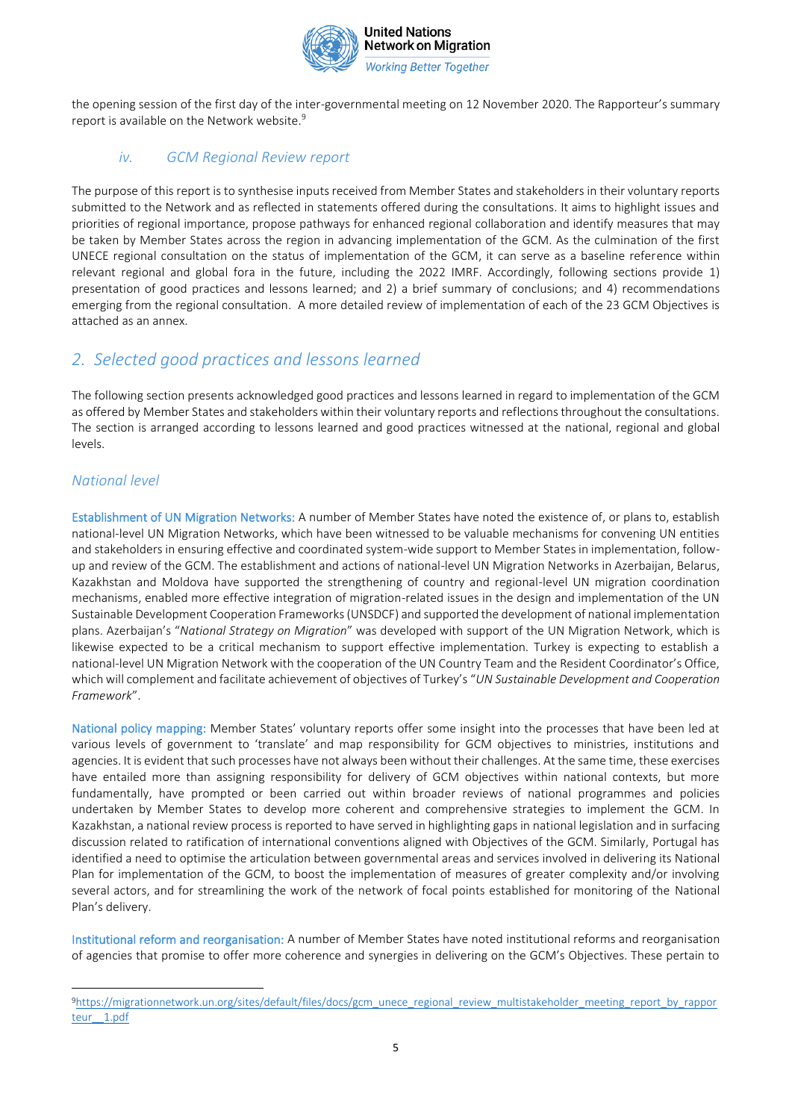

the opening session of the first day of the inter-governmental meeting on 12 November 2020. The Rapporteur's summary report is available on the Network website.<sup>9</sup>

#### *iv. GCM Regional Review report*

The purpose of this report is to synthesise inputs received from Member States and stakeholders in their voluntary reports submitted to the Network and as reflected in statements offered during the consultations. It aims to highlight issues and priorities of regional importance, propose pathways for enhanced regional collaboration and identify measures that may be taken by Member States across the region in advancing implementation of the GCM. As the culmination of the first UNECE regional consultation on the status of implementation of the GCM, it can serve as a baseline reference within relevant regional and global fora in the future, including the 2022 IMRF. Accordingly, following sections provide 1) presentation of good practices and lessons learned; and 2) a brief summary of conclusions; and 4) recommendations emerging from the regional consultation. A more detailed review of implementation of each of the 23 GCM Objectives is attached as an annex.

# *2. Selected good practices and lessons learned*

The following section presents acknowledged good practices and lessons learned in regard to implementation of the GCM as offered by Member States and stakeholders within their voluntary reports and reflections throughout the consultations. The section is arranged according to lessons learned and good practices witnessed at the national, regional and global levels.

#### *National level*

Establishment of UN Migration Networks: A number of Member States have noted the existence of, or plans to, establish national-level UN Migration Networks, which have been witnessed to be valuable mechanisms for convening UN entities and stakeholders in ensuring effective and coordinated system-wide support to Member States in implementation, followup and review of the GCM. The establishment and actions of national-level UN Migration Networks in Azerbaijan, Belarus, Kazakhstan and Moldova have supported the strengthening of country and regional-level UN migration coordination mechanisms, enabled more effective integration of migration-related issues in the design and implementation of the UN Sustainable Development Cooperation Frameworks (UNSDCF) and supported the development of national implementation plans. Azerbaijan's "*National Strategy on Migration*" was developed with support of the UN Migration Network, which is likewise expected to be a critical mechanism to support effective implementation. Turkey is expecting to establish a national-level UN Migration Network with the cooperation of the UN Country Team and the Resident Coordinator's Office, which will complement and facilitate achievement of objectives of Turkey's "*UN Sustainable Development and Cooperation Framework*".

National policy mapping: Member States' voluntary reports offer some insight into the processes that have been led at various levels of government to 'translate' and map responsibility for GCM objectives to ministries, institutions and agencies. It is evident that such processes have not always been without their challenges. At the same time, these exercises have entailed more than assigning responsibility for delivery of GCM objectives within national contexts, but more fundamentally, have prompted or been carried out within broader reviews of national programmes and policies undertaken by Member States to develop more coherent and comprehensive strategies to implement the GCM. In Kazakhstan, a national review process is reported to have served in highlighting gaps in national legislation and in surfacing discussion related to ratification of international conventions aligned with Objectives of the GCM. Similarly, Portugal has identified a need to optimise the articulation between governmental areas and services involved in delivering its National Plan for implementation of the GCM, to boost the implementation of measures of greater complexity and/or involving several actors, and for streamlining the work of the network of focal points established for monitoring of the National Plan's delivery.

Institutional reform and reorganisation: A number of Member States have noted institutional reforms and reorganisation of agencies that promise to offer more coherence and synergies in delivering on the GCM's Objectives. These pertain to

<sup>9</sup>[https://migrationnetwork.un.org/sites/default/files/docs/gcm\\_unece\\_regional\\_review\\_multistakeholder\\_meeting\\_report\\_by\\_rappor](https://migrationnetwork.un.org/sites/default/files/docs/gcm_unece_regional_review_multistakeholder_meeting_report_by_rapporteur__1.pdf) [teur\\_\\_1.pdf](https://migrationnetwork.un.org/sites/default/files/docs/gcm_unece_regional_review_multistakeholder_meeting_report_by_rapporteur__1.pdf)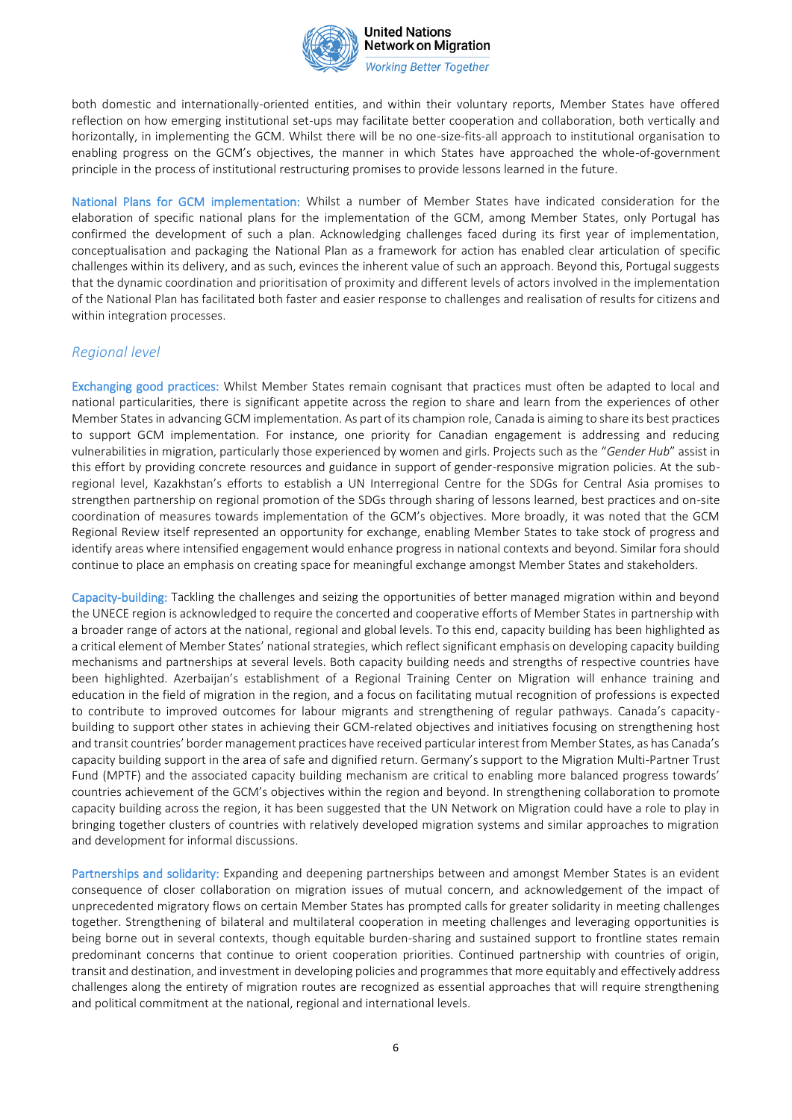

**Working Better Together** 

both domestic and internationally-oriented entities, and within their voluntary reports, Member States have offered reflection on how emerging institutional set-ups may facilitate better cooperation and collaboration, both vertically and horizontally, in implementing the GCM. Whilst there will be no one-size-fits-all approach to institutional organisation to enabling progress on the GCM's objectives, the manner in which States have approached the whole-of-government principle in the process of institutional restructuring promises to provide lessons learned in the future.

National Plans for GCM implementation: Whilst a number of Member States have indicated consideration for the elaboration of specific national plans for the implementation of the GCM, among Member States, only Portugal has confirmed the development of such a plan. Acknowledging challenges faced during its first year of implementation, conceptualisation and packaging the National Plan as a framework for action has enabled clear articulation of specific challenges within its delivery, and as such, evinces the inherent value of such an approach. Beyond this, Portugal suggests that the dynamic coordination and prioritisation of proximity and different levels of actors involved in the implementation of the National Plan has facilitated both faster and easier response to challenges and realisation of results for citizens and within integration processes.

### *Regional level*

Exchanging good practices:Whilst Member States remain cognisant that practices must often be adapted to local and national particularities, there is significant appetite across the region to share and learn from the experiences of other Member States in advancing GCM implementation. As part of its champion role, Canada is aiming to share its best practices to support GCM implementation. For instance, one priority for Canadian engagement is addressing and reducing vulnerabilities in migration, particularly those experienced by women and girls. Projects such as the "*Gender Hub*" assist in this effort by providing concrete resources and guidance in support of gender-responsive migration policies. At the subregional level, Kazakhstan's efforts to establish a UN Interregional Centre for the SDGs for Central Asia promises to strengthen partnership on regional promotion of the SDGs through sharing of lessons learned, best practices and on-site coordination of measures towards implementation of the GCM's objectives. More broadly, it was noted that the GCM Regional Review itself represented an opportunity for exchange, enabling Member States to take stock of progress and identify areas where intensified engagement would enhance progress in national contexts and beyond. Similar fora should continue to place an emphasis on creating space for meaningful exchange amongst Member States and stakeholders.

Capacity-building: Tackling the challenges and seizing the opportunities of better managed migration within and beyond the UNECE region is acknowledged to require the concerted and cooperative efforts of Member States in partnership with a broader range of actors at the national, regional and global levels. To this end, capacity building has been highlighted as a critical element of Member States' national strategies, which reflect significant emphasis on developing capacity building mechanisms and partnerships at several levels. Both capacity building needs and strengths of respective countries have been highlighted. Azerbaijan's establishment of a Regional Training Center on Migration will enhance training and education in the field of migration in the region, and a focus on facilitating mutual recognition of professions is expected to contribute to improved outcomes for labour migrants and strengthening of regular pathways. Canada's capacitybuilding to support other states in achieving their GCM-related objectives and initiatives focusing on strengthening host and transit countries' border management practices have received particular interest from Member States, as has Canada's capacity building support in the area of safe and dignified return. Germany's support to the Migration Multi-Partner Trust Fund (MPTF) and the associated capacity building mechanism are critical to enabling more balanced progress towards' countries achievement of the GCM's objectives within the region and beyond. In strengthening collaboration to promote capacity building across the region, it has been suggested that the UN Network on Migration could have a role to play in bringing together clusters of countries with relatively developed migration systems and similar approaches to migration and development for informal discussions.

Partnerships and solidarity: Expanding and deepening partnerships between and amongst Member States is an evident consequence of closer collaboration on migration issues of mutual concern, and acknowledgement of the impact of unprecedented migratory flows on certain Member States has prompted calls for greater solidarity in meeting challenges together. Strengthening of bilateral and multilateral cooperation in meeting challenges and leveraging opportunities is being borne out in several contexts, though equitable burden-sharing and sustained support to frontline states remain predominant concerns that continue to orient cooperation priorities. Continued partnership with countries of origin, transit and destination, and investment in developing policies and programmes that more equitably and effectively address challenges along the entirety of migration routes are recognized as essential approaches that will require strengthening and political commitment at the national, regional and international levels.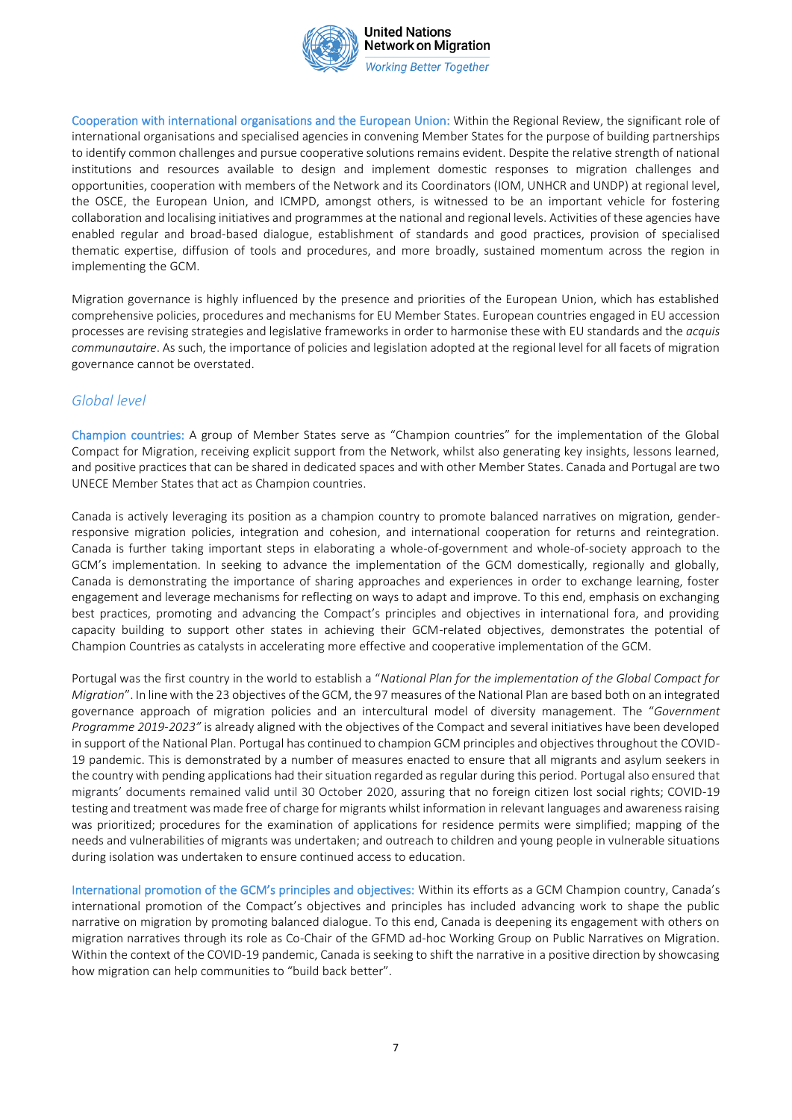

**United Nations Network on Migration Working Better Together** 

Cooperation with international organisations and the European Union: Within the Regional Review, the significant role of international organisations and specialised agencies in convening Member States for the purpose of building partnerships to identify common challenges and pursue cooperative solutions remains evident. Despite the relative strength of national institutions and resources available to design and implement domestic responses to migration challenges and opportunities, cooperation with members of the Network and its Coordinators (IOM, UNHCR and UNDP) at regional level, the OSCE, the European Union, and ICMPD, amongst others, is witnessed to be an important vehicle for fostering collaboration and localising initiatives and programmes at the national and regional levels. Activities of these agencies have enabled regular and broad-based dialogue, establishment of standards and good practices, provision of specialised thematic expertise, diffusion of tools and procedures, and more broadly, sustained momentum across the region in implementing the GCM.

Migration governance is highly influenced by the presence and priorities of the European Union, which has established comprehensive policies, procedures and mechanisms for EU Member States. European countries engaged in EU accession processes are revising strategies and legislative frameworks in order to harmonise these with EU standards and the *acquis communautaire*. As such, the importance of policies and legislation adopted at the regional level for all facets of migration governance cannot be overstated.

### *Global level*

Champion countries: A group of Member States serve as "Champion countries" for the implementation of the Global Compact for Migration, receiving explicit support from the Network, whilst also generating key insights, lessons learned, and positive practices that can be shared in dedicated spaces and with other Member States. Canada and Portugal are two UNECE Member States that act as Champion countries.

Canada is actively leveraging its position as a champion country to promote balanced narratives on migration, genderresponsive migration policies, integration and cohesion, and international cooperation for returns and reintegration. Canada is further taking important steps in elaborating a whole-of-government and whole-of-society approach to the GCM's implementation. In seeking to advance the implementation of the GCM domestically, regionally and globally, Canada is demonstrating the importance of sharing approaches and experiences in order to exchange learning, foster engagement and leverage mechanisms for reflecting on ways to adapt and improve. To this end, emphasis on exchanging best practices, promoting and advancing the Compact's principles and objectives in international fora, and providing capacity building to support other states in achieving their GCM-related objectives, demonstrates the potential of Champion Countries as catalysts in accelerating more effective and cooperative implementation of the GCM.

Portugal was the first country in the world to establish a "*National Plan for the implementation of the Global Compact for Migration*". In line with the 23 objectives of the GCM, the 97 measures of the National Plan are based both on an integrated governance approach of migration policies and an intercultural model of diversity management. The "*Government Programme 2019-2023"* is already aligned with the objectives of the Compact and several initiatives have been developed in support of the National Plan. Portugal has continued to champion GCM principles and objectives throughout the COVID-19 pandemic. This is demonstrated by a number of measures enacted to ensure that all migrants and asylum seekers in the country with pending applications had their situation regarded as regular during this period. Portugal also ensured that migrants' documents remained valid until 30 October 2020, assuring that no foreign citizen lost social rights; COVID-19 testing and treatment was made free of charge for migrants whilst information in relevant languages and awareness raising was prioritized; procedures for the examination of applications for residence permits were simplified; mapping of the needs and vulnerabilities of migrants was undertaken; and outreach to children and young people in vulnerable situations during isolation was undertaken to ensure continued access to education.

International promotion of the GCM's principles and objectives: Within its efforts as a GCM Champion country, Canada's international promotion of the Compact's objectives and principles has included advancing work to shape the public narrative on migration by promoting balanced dialogue. To this end, Canada is deepening its engagement with others on migration narratives through its role as Co-Chair of the GFMD ad-hoc Working Group on Public Narratives on Migration. Within the context of the COVID-19 pandemic, Canada is seeking to shift the narrative in a positive direction by showcasing how migration can help communities to "build back better".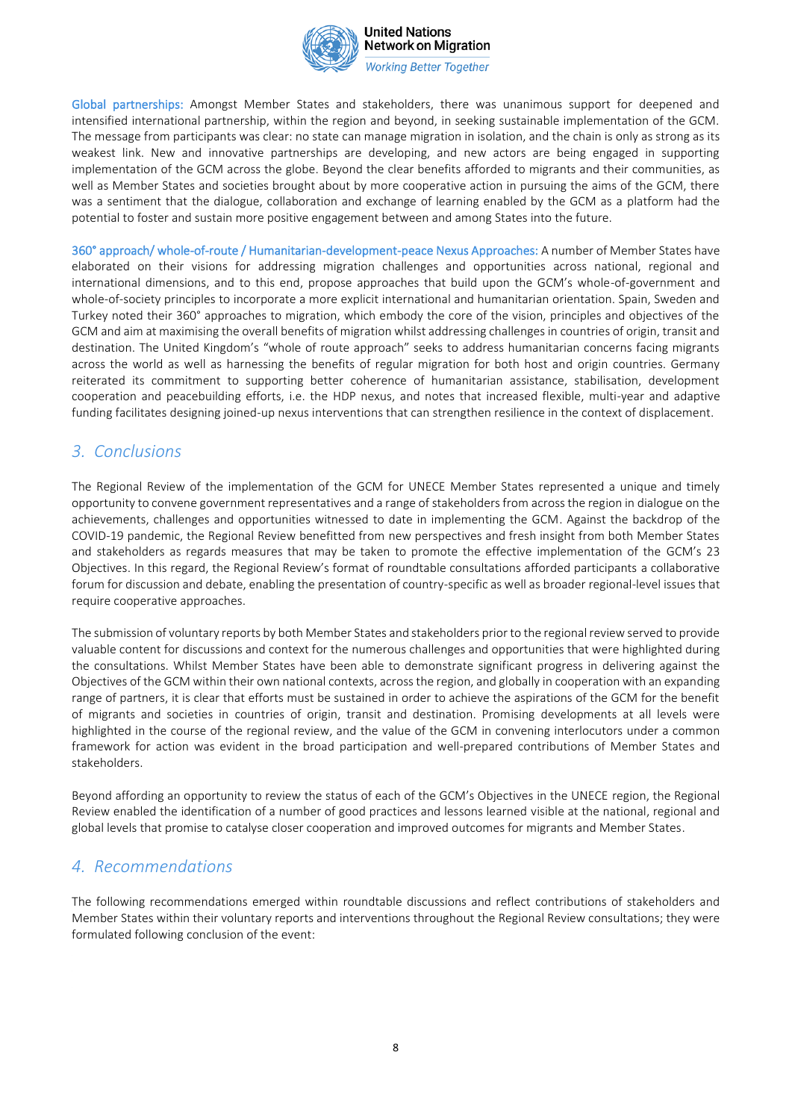

**Working Better Together** 

Global partnerships: Amongst Member States and stakeholders, there was unanimous support for deepened and intensified international partnership, within the region and beyond, in seeking sustainable implementation of the GCM. The message from participants was clear: no state can manage migration in isolation, and the chain is only as strong as its weakest link. New and innovative partnerships are developing, and new actors are being engaged in supporting implementation of the GCM across the globe. Beyond the clear benefits afforded to migrants and their communities, as well as Member States and societies brought about by more cooperative action in pursuing the aims of the GCM, there was a sentiment that the dialogue, collaboration and exchange of learning enabled by the GCM as a platform had the potential to foster and sustain more positive engagement between and among States into the future.

360° approach/ whole-of-route / Humanitarian-development-peace Nexus Approaches: A number of Member States have elaborated on their visions for addressing migration challenges and opportunities across national, regional and international dimensions, and to this end, propose approaches that build upon the GCM's whole-of-government and whole-of-society principles to incorporate a more explicit international and humanitarian orientation. Spain, Sweden and Turkey noted their 360° approaches to migration, which embody the core of the vision, principles and objectives of the GCM and aim at maximising the overall benefits of migration whilst addressing challenges in countries of origin, transit and destination. The United Kingdom's "whole of route approach" seeks to address humanitarian concerns facing migrants across the world as well as harnessing the benefits of regular migration for both host and origin countries. Germany reiterated its commitment to supporting better coherence of humanitarian assistance, stabilisation, development cooperation and peacebuilding efforts, i.e. the HDP nexus, and notes that increased flexible, multi-year and adaptive funding facilitates designing joined-up nexus interventions that can strengthen resilience in the context of displacement.

### *3. Conclusions*

The Regional Review of the implementation of the GCM for UNECE Member States represented a unique and timely opportunity to convene government representatives and a range of stakeholders from across the region in dialogue on the achievements, challenges and opportunities witnessed to date in implementing the GCM. Against the backdrop of the COVID-19 pandemic, the Regional Review benefitted from new perspectives and fresh insight from both Member States and stakeholders as regards measures that may be taken to promote the effective implementation of the GCM's 23 Objectives. In this regard, the Regional Review's format of roundtable consultations afforded participants a collaborative forum for discussion and debate, enabling the presentation of country-specific as well as broader regional-level issues that require cooperative approaches.

The submission of voluntary reports by both Member States and stakeholders prior to the regional review served to provide valuable content for discussions and context for the numerous challenges and opportunities that were highlighted during the consultations. Whilst Member States have been able to demonstrate significant progress in delivering against the Objectives of the GCM within their own national contexts, across the region, and globally in cooperation with an expanding range of partners, it is clear that efforts must be sustained in order to achieve the aspirations of the GCM for the benefit of migrants and societies in countries of origin, transit and destination. Promising developments at all levels were highlighted in the course of the regional review, and the value of the GCM in convening interlocutors under a common framework for action was evident in the broad participation and well-prepared contributions of Member States and stakeholders.

Beyond affording an opportunity to review the status of each of the GCM's Objectives in the UNECE region, the Regional Review enabled the identification of a number of good practices and lessons learned visible at the national, regional and global levels that promise to catalyse closer cooperation and improved outcomes for migrants and Member States.

# *4. Recommendations*

The following recommendations emerged within roundtable discussions and reflect contributions of stakeholders and Member States within their voluntary reports and interventions throughout the Regional Review consultations; they were formulated following conclusion of the event: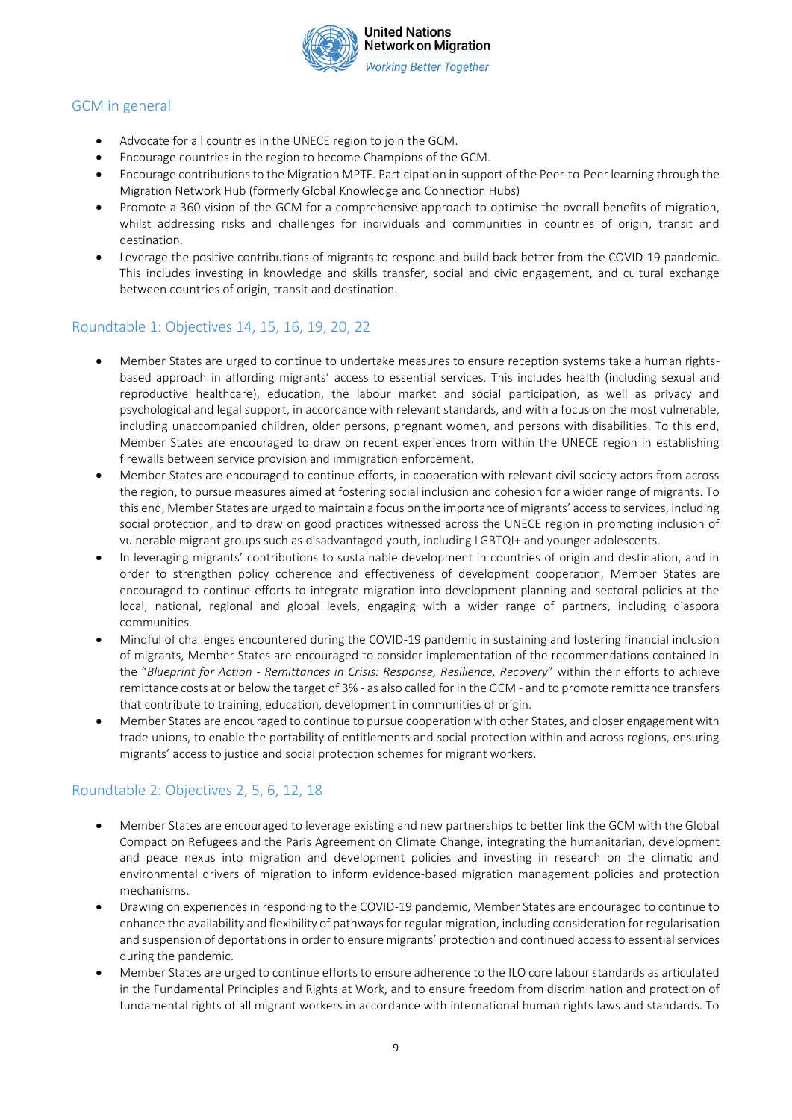

### GCM in general

- Advocate for all countries in the UNECE region to join the GCM.
- Encourage countries in the region to become Champions of the GCM.
- Encourage contributions to the Migration MPTF. Participation in support of the Peer-to-Peer learning through the Migration Network Hub (formerly Global Knowledge and Connection Hubs)
- Promote a 360-vision of the GCM for a comprehensive approach to optimise the overall benefits of migration, whilst addressing risks and challenges for individuals and communities in countries of origin, transit and destination.
- Leverage the positive contributions of migrants to respond and build back better from the COVID-19 pandemic. This includes investing in knowledge and skills transfer, social and civic engagement, and cultural exchange between countries of origin, transit and destination.

### Roundtable 1: Objectives 14, 15, 16, 19, 20, 22

- Member States are urged to continue to undertake measures to ensure reception systems take a human rightsbased approach in affording migrants' access to essential services. This includes health (including sexual and reproductive healthcare), education, the labour market and social participation, as well as privacy and psychological and legal support, in accordance with relevant standards, and with a focus on the most vulnerable, including unaccompanied children, older persons, pregnant women, and persons with disabilities. To this end, Member States are encouraged to draw on recent experiences from within the UNECE region in establishing firewalls between service provision and immigration enforcement.
- Member States are encouraged to continue efforts, in cooperation with relevant civil society actors from across the region, to pursue measures aimed at fostering social inclusion and cohesion for a wider range of migrants. To this end, Member States are urged to maintain a focus on the importance of migrants' access to services, including social protection, and to draw on good practices witnessed across the UNECE region in promoting inclusion of vulnerable migrant groups such as disadvantaged youth, including LGBTQI+ and younger adolescents.
- In leveraging migrants' contributions to sustainable development in countries of origin and destination, and in order to strengthen policy coherence and effectiveness of development cooperation, Member States are encouraged to continue efforts to integrate migration into development planning and sectoral policies at the local, national, regional and global levels, engaging with a wider range of partners, including diaspora communities.
- Mindful of challenges encountered during the COVID-19 pandemic in sustaining and fostering financial inclusion of migrants, Member States are encouraged to consider implementation of the recommendations contained in the "*Blueprint for Action - Remittances in Crisis: Response, Resilience, Recovery*" within their efforts to achieve remittance costs at or below the target of 3% - as also called for in the GCM - and to promote remittance transfers that contribute to training, education, development in communities of origin.
- Member States are encouraged to continue to pursue cooperation with other States, and closer engagement with trade unions, to enable the portability of entitlements and social protection within and across regions, ensuring migrants' access to justice and social protection schemes for migrant workers.

### Roundtable 2: Objectives 2, 5, 6, 12, 18

- Member States are encouraged to leverage existing and new partnerships to better link the GCM with the Global Compact on Refugees and the Paris Agreement on Climate Change, integrating the humanitarian, development and peace nexus into migration and development policies and investing in research on the climatic and environmental drivers of migration to inform evidence-based migration management policies and protection mechanisms.
- Drawing on experiences in responding to the COVID-19 pandemic, Member States are encouraged to continue to enhance the availability and flexibility of pathways for regular migration, including consideration for regularisation and suspension of deportations in order to ensure migrants' protection and continued access to essential services during the pandemic.
- Member States are urged to continue efforts to ensure adherence to the ILO core labour standards as articulated in the Fundamental Principles and Rights at Work, and to ensure freedom from discrimination and protection of fundamental rights of all migrant workers in accordance with international human rights laws and standards. To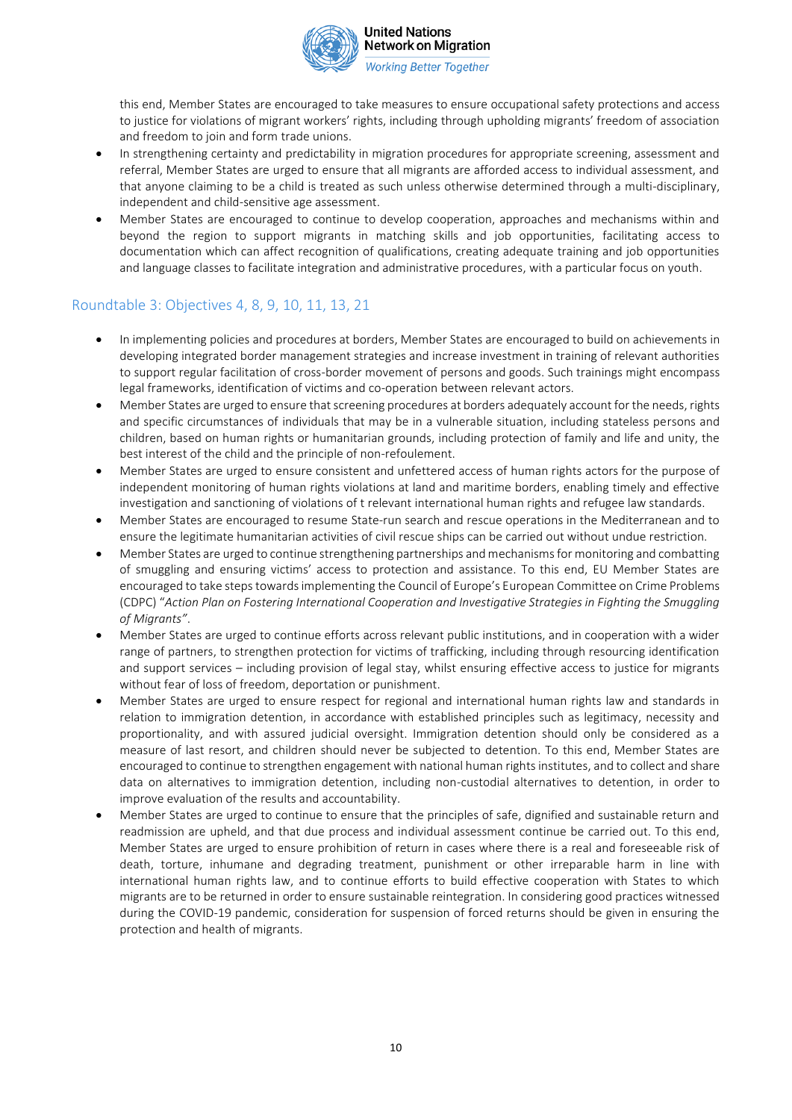

**Working Better Together** 

this end, Member States are encouraged to take measures to ensure occupational safety protections and access to justice for violations of migrant workers' rights, including through upholding migrants' freedom of association and freedom to join and form trade unions.

- In strengthening certainty and predictability in migration procedures for appropriate screening, assessment and referral, Member States are urged to ensure that all migrants are afforded access to individual assessment, and that anyone claiming to be a child is treated as such unless otherwise determined through a multi-disciplinary, independent and child-sensitive age assessment.
- Member States are encouraged to continue to develop cooperation, approaches and mechanisms within and beyond the region to support migrants in matching skills and job opportunities, facilitating access to documentation which can affect recognition of qualifications, creating adequate training and job opportunities and language classes to facilitate integration and administrative procedures, with a particular focus on youth.

### Roundtable 3: Objectives 4, 8, 9, 10, 11, 13, 21

- In implementing policies and procedures at borders, Member States are encouraged to build on achievements in developing integrated border management strategies and increase investment in training of relevant authorities to support regular facilitation of cross-border movement of persons and goods. Such trainings might encompass legal frameworks, identification of victims and co-operation between relevant actors.
- Member States are urged to ensure that screening procedures at borders adequately account for the needs, rights and specific circumstances of individuals that may be in a vulnerable situation, including stateless persons and children, based on human rights or humanitarian grounds, including protection of family and life and unity, the best interest of the child and the principle of non-refoulement.
- Member States are urged to ensure consistent and unfettered access of human rights actors for the purpose of independent monitoring of human rights violations at land and maritime borders, enabling timely and effective investigation and sanctioning of violations of t relevant international human rights and refugee law standards.
- Member States are encouraged to resume State-run search and rescue operations in the Mediterranean and to ensure the legitimate humanitarian activities of civil rescue ships can be carried out without undue restriction.
- Member States are urged to continue strengthening partnerships and mechanisms for monitoring and combatting of smuggling and ensuring victims' access to protection and assistance. To this end, EU Member States are encouraged to take steps towards implementing the Council of Europe's European Committee on Crime Problems (CDPC) "*Action Plan on Fostering International Cooperation and Investigative Strategies in Fighting the Smuggling of Migrants"*.
- Member States are urged to continue efforts across relevant public institutions, and in cooperation with a wider range of partners, to strengthen protection for victims of trafficking, including through resourcing identification and support services – including provision of legal stay, whilst ensuring effective access to justice for migrants without fear of loss of freedom, deportation or punishment.
- Member States are urged to ensure respect for regional and international human rights law and standards in relation to immigration detention, in accordance with established principles such as legitimacy, necessity and proportionality, and with assured judicial oversight. Immigration detention should only be considered as a measure of last resort, and children should never be subjected to detention. To this end, Member States are encouraged to continue to strengthen engagement with national human rights institutes, and to collect and share data on alternatives to immigration detention, including non-custodial alternatives to detention, in order to improve evaluation of the results and accountability.
- Member States are urged to continue to ensure that the principles of safe, dignified and sustainable return and readmission are upheld, and that due process and individual assessment continue be carried out. To this end, Member States are urged to ensure prohibition of return in cases where there is a real and foreseeable risk of death, torture, inhumane and degrading treatment, punishment or other irreparable harm in line with international human rights law, and to continue efforts to build effective cooperation with States to which migrants are to be returned in order to ensure sustainable reintegration. In considering good practices witnessed during the COVID-19 pandemic, consideration for suspension of forced returns should be given in ensuring the protection and health of migrants.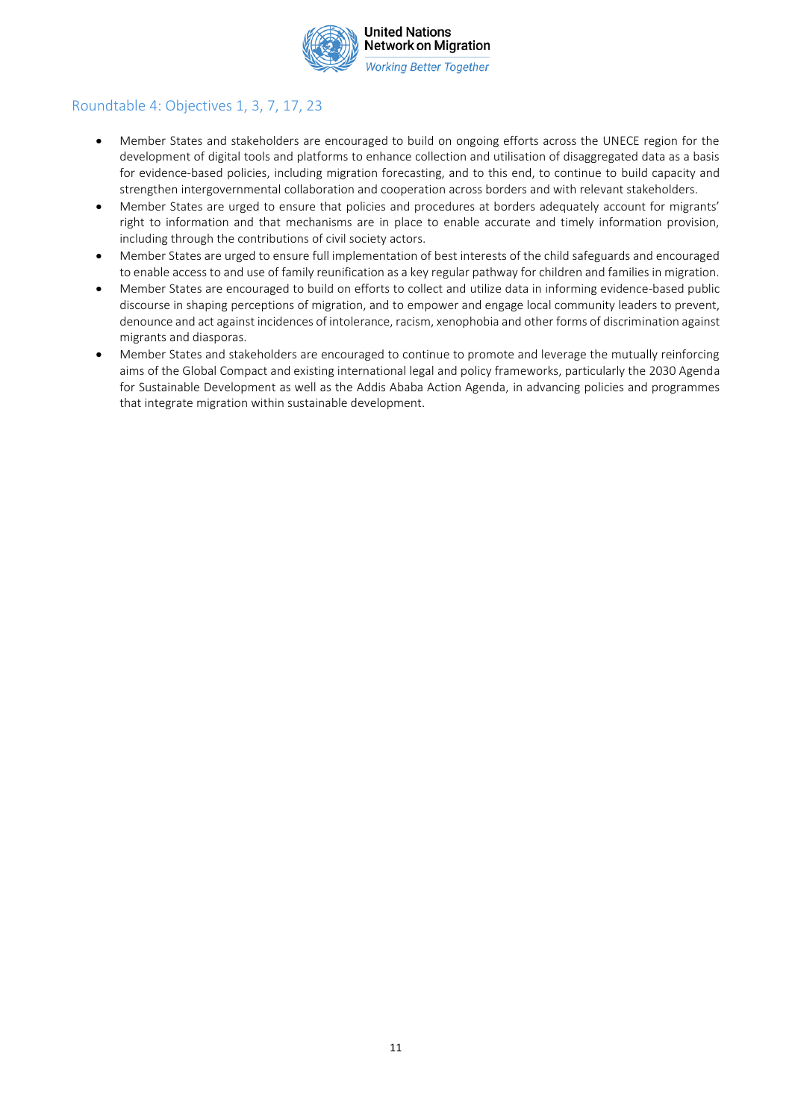

# Roundtable 4: Objectives 1, 3, 7, 17, 23

- Member States and stakeholders are encouraged to build on ongoing efforts across the UNECE region for the development of digital tools and platforms to enhance collection and utilisation of disaggregated data as a basis for evidence-based policies, including migration forecasting, and to this end, to continue to build capacity and strengthen intergovernmental collaboration and cooperation across borders and with relevant stakeholders.
- Member States are urged to ensure that policies and procedures at borders adequately account for migrants' right to information and that mechanisms are in place to enable accurate and timely information provision, including through the contributions of civil society actors.
- Member States are urged to ensure full implementation of best interests of the child safeguards and encouraged to enable access to and use of family reunification as a key regular pathway for children and families in migration.
- Member States are encouraged to build on efforts to collect and utilize data in informing evidence-based public discourse in shaping perceptions of migration, and to empower and engage local community leaders to prevent, denounce and act against incidences of intolerance, racism, xenophobia and other forms of discrimination against migrants and diasporas.
- Member States and stakeholders are encouraged to continue to promote and leverage the mutually reinforcing aims of the Global Compact and existing international legal and policy frameworks, particularly the 2030 Agenda for Sustainable Development as well as the Addis Ababa Action Agenda, in advancing policies and programmes that integrate migration within sustainable development.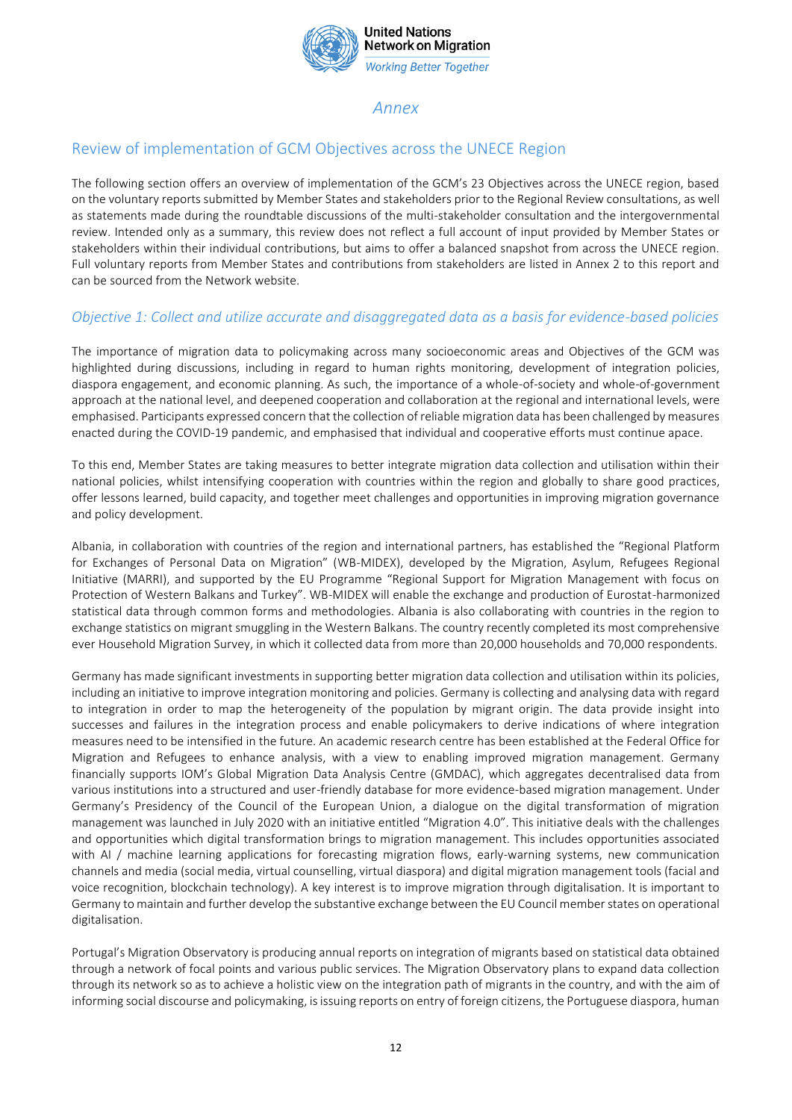

# *Annex*

### Review of implementation of GCM Objectives across the UNECE Region

The following section offers an overview of implementation of the GCM's 23 Objectives across the UNECE region, based on the voluntary reports submitted by Member States and stakeholders prior to the Regional Review consultations, as well as statements made during the roundtable discussions of the multi-stakeholder consultation and the intergovernmental review. Intended only as a summary, this review does not reflect a full account of input provided by Member States or stakeholders within their individual contributions, but aims to offer a balanced snapshot from across the UNECE region. Full voluntary reports from Member States and contributions from stakeholders are listed in Annex 2 to this report and can be sourced from the Network website.

### *Objective 1: Collect and utilize accurate and disaggregated data as a basis for evidence-based policies*

The importance of migration data to policymaking across many socioeconomic areas and Objectives of the GCM was highlighted during discussions, including in regard to human rights monitoring, development of integration policies, diaspora engagement, and economic planning. As such, the importance of a whole-of-society and whole-of-government approach at the national level, and deepened cooperation and collaboration at the regional and international levels, were emphasised. Participants expressed concern that the collection of reliable migration data has been challenged by measures enacted during the COVID-19 pandemic, and emphasised that individual and cooperative efforts must continue apace.

To this end, Member States are taking measures to better integrate migration data collection and utilisation within their national policies, whilst intensifying cooperation with countries within the region and globally to share good practices, offer lessons learned, build capacity, and together meet challenges and opportunities in improving migration governance and policy development.

Albania, in collaboration with countries of the region and international partners, has established the "Regional Platform for Exchanges of Personal Data on Migration" (WB-MIDEX), developed by the Migration, Asylum, Refugees Regional Initiative (MARRI), and supported by the EU Programme "Regional Support for Migration Management with focus on Protection of Western Balkans and Turkey". WB-MIDEX will enable the exchange and production of Eurostat-harmonized statistical data through common forms and methodologies. Albania is also collaborating with countries in the region to exchange statistics on migrant smuggling in the Western Balkans. The country recently completed its most comprehensive ever Household Migration Survey, in which it collected data from more than 20,000 households and 70,000 respondents.

Germany has made significant investments in supporting better migration data collection and utilisation within its policies, including an initiative to improve integration monitoring and policies. Germany is collecting and analysing data with regard to integration in order to map the heterogeneity of the population by migrant origin. The data provide insight into successes and failures in the integration process and enable policymakers to derive indications of where integration measures need to be intensified in the future. An academic research centre has been established at the Federal Office for Migration and Refugees to enhance analysis, with a view to enabling improved migration management. Germany financially supports IOM's Global Migration Data Analysis Centre (GMDAC), which aggregates decentralised data from various institutions into a structured and user-friendly database for more evidence-based migration management. Under Germany's Presidency of the Council of the European Union, a dialogue on the digital transformation of migration management was launched in July 2020 with an initiative entitled "Migration 4.0". This initiative deals with the challenges and opportunities which digital transformation brings to migration management. This includes opportunities associated with AI / machine learning applications for forecasting migration flows, early-warning systems, new communication channels and media (social media, virtual counselling, virtual diaspora) and digital migration management tools (facial and voice recognition, blockchain technology). A key interest is to improve migration through digitalisation. It is important to Germany to maintain and further develop the substantive exchange between the EU Council member states on operational digitalisation.

Portugal's Migration Observatory is producing annual reports on integration of migrants based on statistical data obtained through a network of focal points and various public services. The Migration Observatory plans to expand data collection through its network so as to achieve a holistic view on the integration path of migrants in the country, and with the aim of informing social discourse and policymaking, is issuing reports on entry of foreign citizens, the Portuguese diaspora, human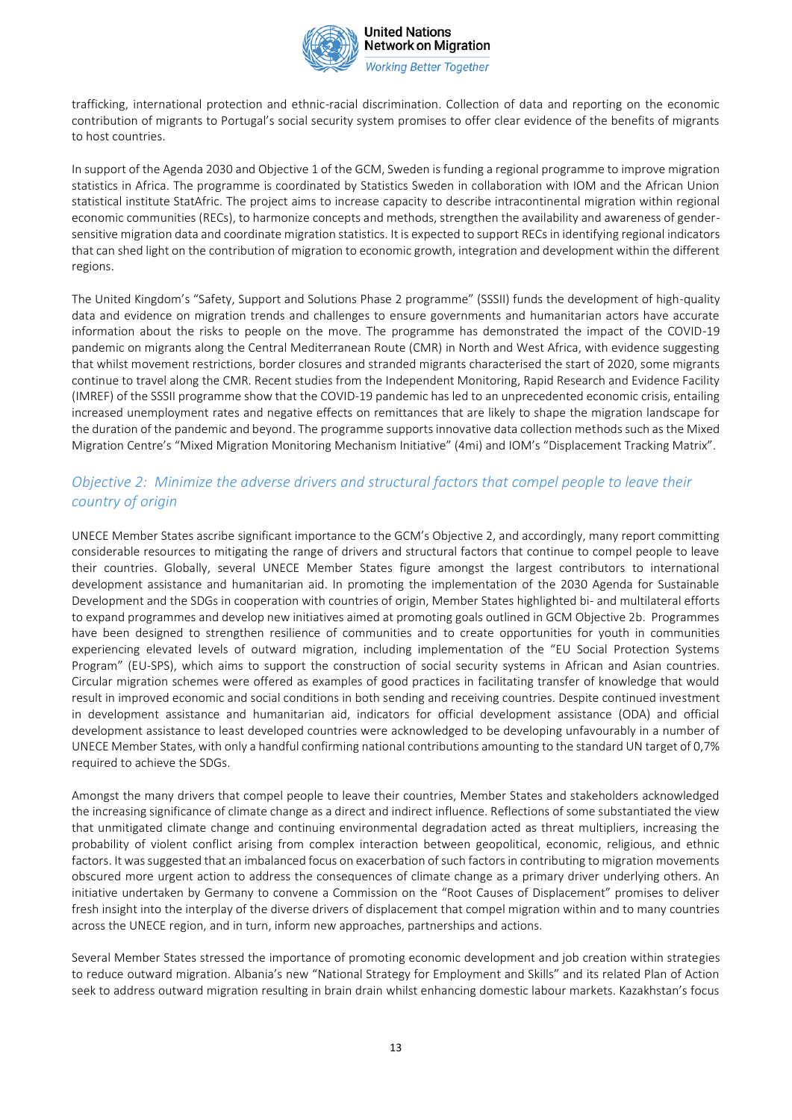

**United Nations Network on Migration Working Better Together** 

trafficking, international protection and ethnic-racial discrimination. Collection of data and reporting on the economic contribution of migrants to Portugal's social security system promises to offer clear evidence of the benefits of migrants to host countries.

In support of the Agenda 2030 and Objective 1 of the GCM, Sweden is funding a regional programme to improve migration statistics in Africa. The programme is coordinated by Statistics Sweden in collaboration with IOM and the African Union statistical institute StatAfric. The project aims to increase capacity to describe intracontinental migration within regional economic communities (RECs), to harmonize concepts and methods, strengthen the availability and awareness of gendersensitive migration data and coordinate migration statistics. It is expected to support RECs in identifying regional indicators that can shed light on the contribution of migration to economic growth, integration and development within the different regions.

The United Kingdom's "Safety, Support and Solutions Phase 2 programme" (SSSII) funds the development of high-quality data and evidence on migration trends and challenges to ensure governments and humanitarian actors have accurate information about the risks to people on the move. The programme has demonstrated the impact of the COVID-19 pandemic on migrants along the Central Mediterranean Route (CMR) in North and West Africa, with evidence suggesting that whilst movement restrictions, border closures and stranded migrants characterised the start of 2020, some migrants continue to travel along the CMR. Recent studies from the Independent Monitoring, Rapid Research and Evidence Facility (IMREF) of the SSSII programme show that the COVID-19 pandemic has led to an unprecedented economic crisis, entailing increased unemployment rates and negative effects on remittances that are likely to shape the migration landscape for the duration of the pandemic and beyond. The programme supports innovative data collection methods such as the Mixed Migration Centre's "Mixed Migration Monitoring Mechanism Initiative" (4mi) and IOM's "Displacement Tracking Matrix".

# *Objective 2: Minimize the adverse drivers and structural factors that compel people to leave their country of origin*

UNECE Member States ascribe significant importance to the GCM's Objective 2, and accordingly, many report committing considerable resources to mitigating the range of drivers and structural factors that continue to compel people to leave their countries. Globally, several UNECE Member States figure amongst the largest contributors to international development assistance and humanitarian aid. In promoting the implementation of the 2030 Agenda for Sustainable Development and the SDGs in cooperation with countries of origin, Member States highlighted bi- and multilateral efforts to expand programmes and develop new initiatives aimed at promoting goals outlined in GCM Objective 2b. Programmes have been designed to strengthen resilience of communities and to create opportunities for youth in communities experiencing elevated levels of outward migration, including implementation of the "EU Social Protection Systems Program" (EU-SPS), which aims to support the construction of social security systems in African and Asian countries. Circular migration schemes were offered as examples of good practices in facilitating transfer of knowledge that would result in improved economic and social conditions in both sending and receiving countries. Despite continued investment in development assistance and humanitarian aid, indicators for official development assistance (ODA) and official development assistance to least developed countries were acknowledged to be developing unfavourably in a number of UNECE Member States, with only a handful confirming national contributions amounting to the standard UN target of 0,7% required to achieve the SDGs.

Amongst the many drivers that compel people to leave their countries, Member States and stakeholders acknowledged the increasing significance of climate change as a direct and indirect influence. Reflections of some substantiated the view that unmitigated climate change and continuing environmental degradation acted as threat multipliers, increasing the probability of violent conflict arising from complex interaction between geopolitical, economic, religious, and ethnic factors. It was suggested that an imbalanced focus on exacerbation of such factors in contributing to migration movements obscured more urgent action to address the consequences of climate change as a primary driver underlying others. An initiative undertaken by Germany to convene a Commission on the "Root Causes of Displacement" promises to deliver fresh insight into the interplay of the diverse drivers of displacement that compel migration within and to many countries across the UNECE region, and in turn, inform new approaches, partnerships and actions.

Several Member States stressed the importance of promoting economic development and job creation within strategies to reduce outward migration. Albania's new "National Strategy for Employment and Skills" and its related Plan of Action seek to address outward migration resulting in brain drain whilst enhancing domestic labour markets. Kazakhstan's focus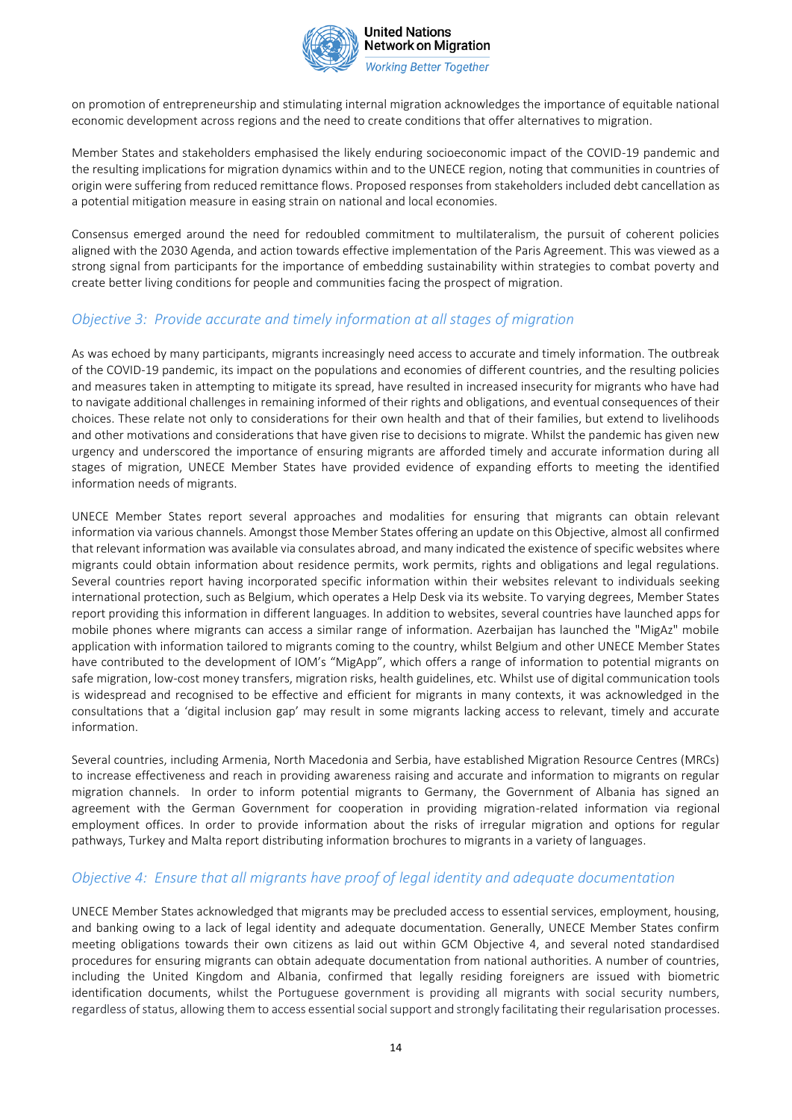

**Working Better Together** 

on promotion of entrepreneurship and stimulating internal migration acknowledges the importance of equitable national economic development across regions and the need to create conditions that offer alternatives to migration.

Member States and stakeholders emphasised the likely enduring socioeconomic impact of the COVID-19 pandemic and the resulting implications for migration dynamics within and to the UNECE region, noting that communities in countries of origin were suffering from reduced remittance flows. Proposed responses from stakeholders included debt cancellation as a potential mitigation measure in easing strain on national and local economies.

Consensus emerged around the need for redoubled commitment to multilateralism, the pursuit of coherent policies aligned with the 2030 Agenda, and action towards effective implementation of the Paris Agreement. This was viewed as a strong signal from participants for the importance of embedding sustainability within strategies to combat poverty and create better living conditions for people and communities facing the prospect of migration.

# *Objective 3: Provide accurate and timely information at all stages of migration*

As was echoed by many participants, migrants increasingly need access to accurate and timely information. The outbreak of the COVID-19 pandemic, its impact on the populations and economies of different countries, and the resulting policies and measures taken in attempting to mitigate its spread, have resulted in increased insecurity for migrants who have had to navigate additional challenges in remaining informed of their rights and obligations, and eventual consequences of their choices. These relate not only to considerations for their own health and that of their families, but extend to livelihoods and other motivations and considerations that have given rise to decisions to migrate. Whilst the pandemic has given new urgency and underscored the importance of ensuring migrants are afforded timely and accurate information during all stages of migration, UNECE Member States have provided evidence of expanding efforts to meeting the identified information needs of migrants.

UNECE Member States report several approaches and modalities for ensuring that migrants can obtain relevant information via various channels. Amongst those Member States offering an update on this Objective, almost all confirmed that relevant information was available via consulates abroad, and many indicated the existence of specific websites where migrants could obtain information about residence permits, work permits, rights and obligations and legal regulations. Several countries report having incorporated specific information within their websites relevant to individuals seeking international protection, such as Belgium, which operates a Help Desk via its website. To varying degrees, Member States report providing this information in different languages. In addition to websites, several countries have launched apps for mobile phones where migrants can access a similar range of information. Azerbaijan has launched the "MigAz" mobile application with information tailored to migrants coming to the country, whilst Belgium and other UNECE Member States have contributed to the development of IOM's "MigApp", which offers a range of information to potential migrants on safe migration, low-cost money transfers, migration risks, health guidelines, etc. Whilst use of digital communication tools is widespread and recognised to be effective and efficient for migrants in many contexts, it was acknowledged in the consultations that a 'digital inclusion gap' may result in some migrants lacking access to relevant, timely and accurate information.

Several countries, including Armenia, North Macedonia and Serbia, have established Migration Resource Centres (MRCs) to increase effectiveness and reach in providing awareness raising and accurate and information to migrants on regular migration channels. In order to inform potential migrants to Germany, the Government of Albania has signed an agreement with the German Government for cooperation in providing migration-related information via regional employment offices. In order to provide information about the risks of irregular migration and options for regular pathways, Turkey and Malta report distributing information brochures to migrants in a variety of languages.

### *Objective 4: Ensure that all migrants have proof of legal identity and adequate documentation*

UNECE Member States acknowledged that migrants may be precluded access to essential services, employment, housing, and banking owing to a lack of legal identity and adequate documentation. Generally, UNECE Member States confirm meeting obligations towards their own citizens as laid out within GCM Objective 4, and several noted standardised procedures for ensuring migrants can obtain adequate documentation from national authorities. A number of countries, including the United Kingdom and Albania, confirmed that legally residing foreigners are issued with biometric identification documents, whilst the Portuguese government is providing all migrants with social security numbers, regardless of status, allowing them to access essential social support and strongly facilitating their regularisation processes.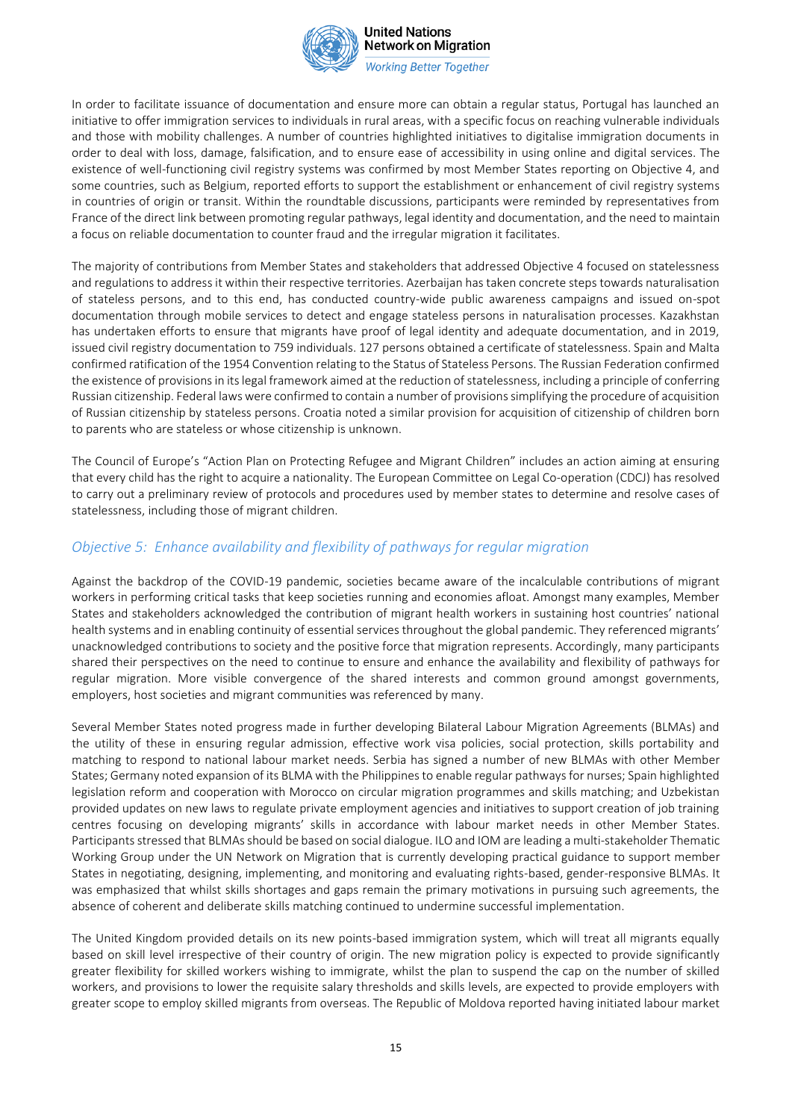

**Working Better Together** 

In order to facilitate issuance of documentation and ensure more can obtain a regular status, Portugal has launched an initiative to offer immigration services to individuals in rural areas, with a specific focus on reaching vulnerable individuals and those with mobility challenges. A number of countries highlighted initiatives to digitalise immigration documents in order to deal with loss, damage, falsification, and to ensure ease of accessibility in using online and digital services. The existence of well-functioning civil registry systems was confirmed by most Member States reporting on Objective 4, and some countries, such as Belgium, reported efforts to support the establishment or enhancement of civil registry systems in countries of origin or transit. Within the roundtable discussions, participants were reminded by representatives from France of the direct link between promoting regular pathways, legal identity and documentation, and the need to maintain a focus on reliable documentation to counter fraud and the irregular migration it facilitates.

The majority of contributions from Member States and stakeholders that addressed Objective 4 focused on statelessness and regulations to address it within their respective territories. Azerbaijan has taken concrete steps towards naturalisation of stateless persons, and to this end, has conducted country-wide public awareness campaigns and issued on-spot documentation through mobile services to detect and engage stateless persons in naturalisation processes. Kazakhstan has undertaken efforts to ensure that migrants have proof of legal identity and adequate documentation, and in 2019, issued civil registry documentation to 759 individuals. 127 persons obtained a certificate of statelessness. Spain and Malta confirmed ratification of the 1954 Convention relating to the Status of Stateless Persons. The Russian Federation confirmed the existence of provisions in its legal framework aimed at the reduction of statelessness, including a principle of conferring Russian citizenship. Federal laws were confirmed to contain a number of provisions simplifying the procedure of acquisition of Russian citizenship by stateless persons. Croatia noted a similar provision for acquisition of citizenship of children born to parents who are stateless or whose citizenship is unknown.

The Council of Europe's "Action Plan on Protecting Refugee and Migrant Children" includes an action aiming at ensuring that every child has the right to acquire a nationality. The European Committee on Legal Co-operation (CDCJ) has resolved to carry out a preliminary review of protocols and procedures used by member states to determine and resolve cases of statelessness, including those of migrant children.

### *Objective 5: Enhance availability and flexibility of pathways for regular migration*

Against the backdrop of the COVID-19 pandemic, societies became aware of the incalculable contributions of migrant workers in performing critical tasks that keep societies running and economies afloat. Amongst many examples, Member States and stakeholders acknowledged the contribution of migrant health workers in sustaining host countries' national health systems and in enabling continuity of essential services throughout the global pandemic. They referenced migrants' unacknowledged contributions to society and the positive force that migration represents. Accordingly, many participants shared their perspectives on the need to continue to ensure and enhance the availability and flexibility of pathways for regular migration. More visible convergence of the shared interests and common ground amongst governments, employers, host societies and migrant communities was referenced by many.

Several Member States noted progress made in further developing Bilateral Labour Migration Agreements (BLMAs) and the utility of these in ensuring regular admission, effective work visa policies, social protection, skills portability and matching to respond to national labour market needs. Serbia has signed a number of new BLMAs with other Member States; Germany noted expansion of its BLMA with the Philippines to enable regular pathways for nurses; Spain highlighted legislation reform and cooperation with Morocco on circular migration programmes and skills matching; and Uzbekistan provided updates on new laws to regulate private employment agencies and initiatives to support creation of job training centres focusing on developing migrants' skills in accordance with labour market needs in other Member States. Participants stressed that BLMAs should be based on social dialogue. ILO and IOM are leading a multi-stakeholder Thematic Working Group under the UN Network on Migration that is currently developing practical guidance to support member States in negotiating, designing, implementing, and monitoring and evaluating rights-based, gender-responsive BLMAs. It was emphasized that whilst skills shortages and gaps remain the primary motivations in pursuing such agreements, the absence of coherent and deliberate skills matching continued to undermine successful implementation.

The United Kingdom provided details on its new points-based immigration system, which will treat all migrants equally based on skill level irrespective of their country of origin. The new migration policy is expected to provide significantly greater flexibility for skilled workers wishing to immigrate, whilst the plan to suspend the cap on the number of skilled workers, and provisions to lower the requisite salary thresholds and skills levels, are expected to provide employers with greater scope to employ skilled migrants from overseas. The Republic of Moldova reported having initiated labour market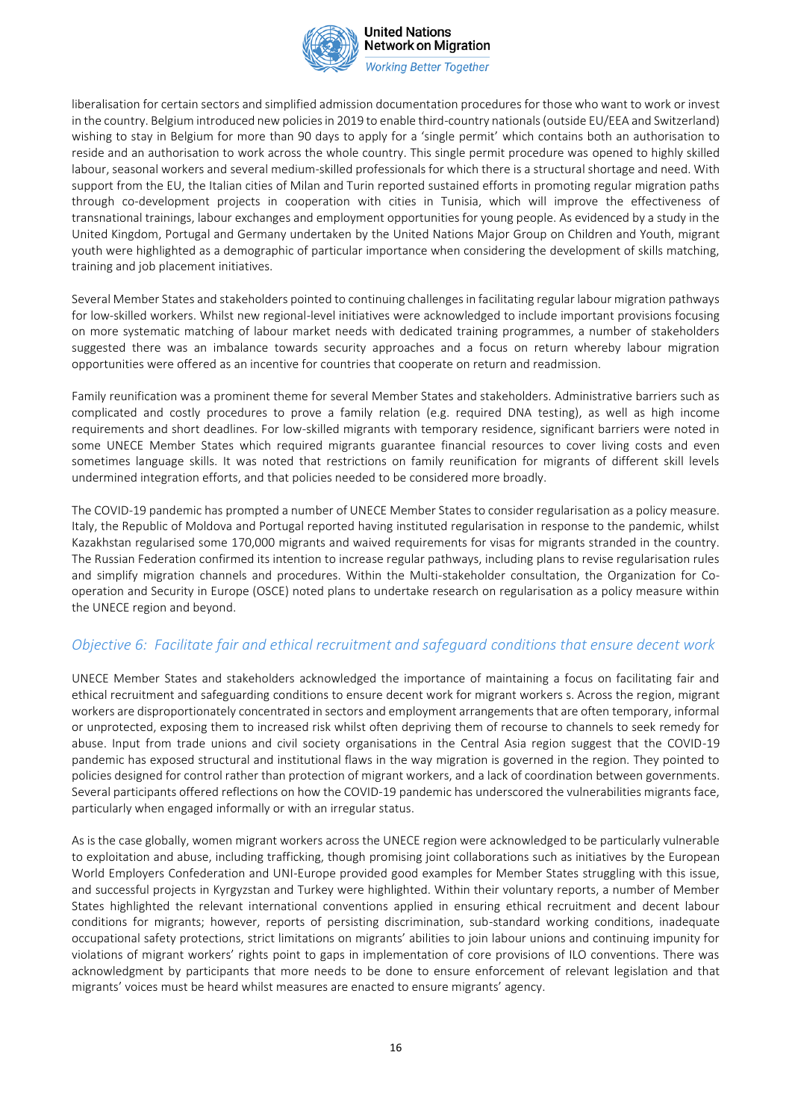

**Working Better Together** 

liberalisation for certain sectors and simplified admission documentation procedures for those who want to work or invest in the country. Belgium introduced new policies in 2019 to enable third-country nationals (outside EU/EEA and Switzerland) wishing to stay in Belgium for more than 90 days to apply for a 'single permit' which contains both an authorisation to reside and an authorisation to work across the whole country. This single permit procedure was opened to highly skilled labour, seasonal workers and several medium-skilled professionals for which there is a structural shortage and need. With support from the EU, the Italian cities of Milan and Turin reported sustained efforts in promoting regular migration paths through co-development projects in cooperation with cities in Tunisia, which will improve the effectiveness of transnational trainings, labour exchanges and employment opportunities for young people. As evidenced by a study in the United Kingdom, Portugal and Germany undertaken by the United Nations Major Group on Children and Youth, migrant youth were highlighted as a demographic of particular importance when considering the development of skills matching, training and job placement initiatives.

Several Member States and stakeholders pointed to continuing challenges in facilitating regular labour migration pathways for low-skilled workers. Whilst new regional-level initiatives were acknowledged to include important provisions focusing on more systematic matching of labour market needs with dedicated training programmes, a number of stakeholders suggested there was an imbalance towards security approaches and a focus on return whereby labour migration opportunities were offered as an incentive for countries that cooperate on return and readmission.

Family reunification was a prominent theme for several Member States and stakeholders. Administrative barriers such as complicated and costly procedures to prove a family relation (e.g. required DNA testing), as well as high income requirements and short deadlines. For low-skilled migrants with temporary residence, significant barriers were noted in some UNECE Member States which required migrants guarantee financial resources to cover living costs and even sometimes language skills. It was noted that restrictions on family reunification for migrants of different skill levels undermined integration efforts, and that policies needed to be considered more broadly.

The COVID-19 pandemic has prompted a number of UNECE Member States to consider regularisation as a policy measure. Italy, the Republic of Moldova and Portugal reported having instituted regularisation in response to the pandemic, whilst Kazakhstan regularised some 170,000 migrants and waived requirements for visas for migrants stranded in the country. The Russian Federation confirmed its intention to increase regular pathways, including plans to revise regularisation rules and simplify migration channels and procedures. Within the Multi-stakeholder consultation, the Organization for Cooperation and Security in Europe (OSCE) noted plans to undertake research on regularisation as a policy measure within the UNECE region and beyond.

#### *Objective 6: Facilitate fair and ethical recruitment and safeguard conditions that ensure decent work*

UNECE Member States and stakeholders acknowledged the importance of maintaining a focus on facilitating fair and ethical recruitment and safeguarding conditions to ensure decent work for migrant workers s. Across the region, migrant workers are disproportionately concentrated in sectors and employment arrangements that are often temporary, informal or unprotected, exposing them to increased risk whilst often depriving them of recourse to channels to seek remedy for abuse. Input from trade unions and civil society organisations in the Central Asia region suggest that the COVID-19 pandemic has exposed structural and institutional flaws in the way migration is governed in the region. They pointed to policies designed for control rather than protection of migrant workers, and a lack of coordination between governments. Several participants offered reflections on how the COVID-19 pandemic has underscored the vulnerabilities migrants face, particularly when engaged informally or with an irregular status.

As is the case globally, women migrant workers across the UNECE region were acknowledged to be particularly vulnerable to exploitation and abuse, including trafficking, though promising joint collaborations such as initiatives by the European World Employers Confederation and UNI-Europe provided good examples for Member States struggling with this issue, and successful projects in Kyrgyzstan and Turkey were highlighted. Within their voluntary reports, a number of Member States highlighted the relevant international conventions applied in ensuring ethical recruitment and decent labour conditions for migrants; however, reports of persisting discrimination, sub-standard working conditions, inadequate occupational safety protections, strict limitations on migrants' abilities to join labour unions and continuing impunity for violations of migrant workers' rights point to gaps in implementation of core provisions of ILO conventions. There was acknowledgment by participants that more needs to be done to ensure enforcement of relevant legislation and that migrants' voices must be heard whilst measures are enacted to ensure migrants' agency.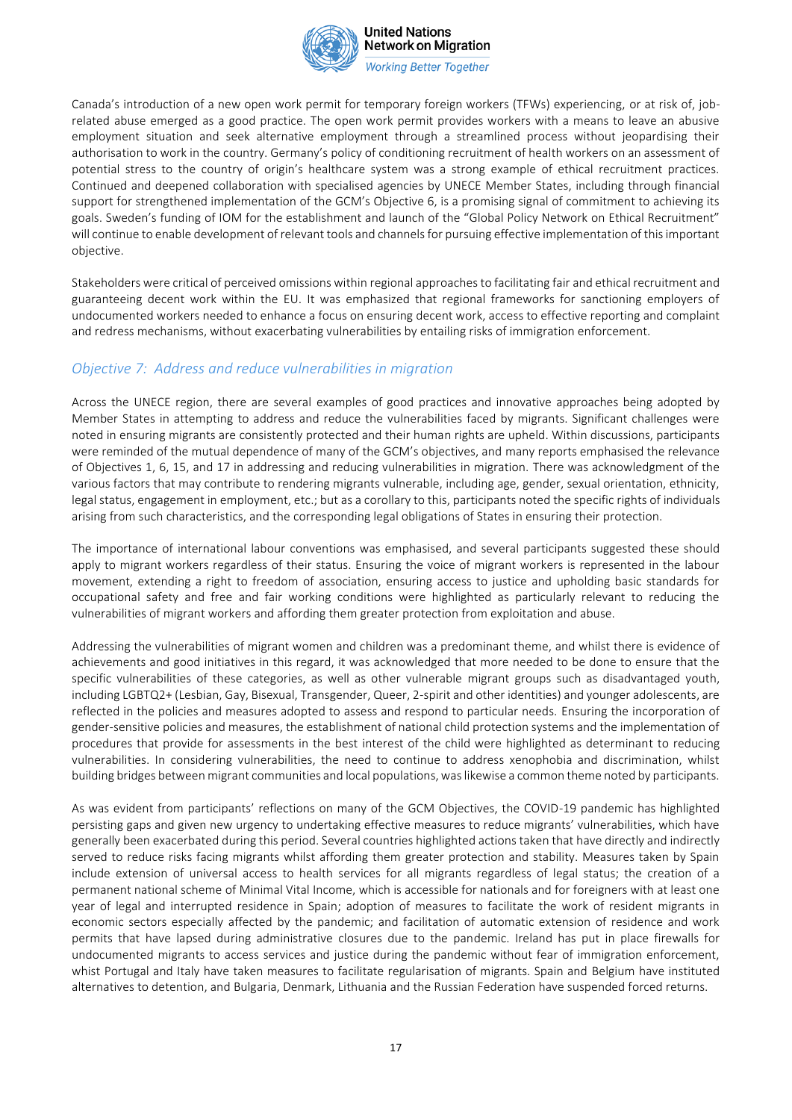

**Working Better Together** 

Canada's introduction of a new open work permit for temporary foreign workers (TFWs) experiencing, or at risk of, jobrelated abuse emerged as a good practice. The open work permit provides workers with a means to leave an abusive employment situation and seek alternative employment through a streamlined process without jeopardising their authorisation to work in the country. Germany's policy of conditioning recruitment of health workers on an assessment of potential stress to the country of origin's healthcare system was a strong example of ethical recruitment practices. Continued and deepened collaboration with specialised agencies by UNECE Member States, including through financial support for strengthened implementation of the GCM's Objective 6, is a promising signal of commitment to achieving its goals. Sweden's funding of IOM for the establishment and launch of the "Global Policy Network on Ethical Recruitment" will continue to enable development of relevant tools and channels for pursuing effective implementation of this important objective.

Stakeholders were critical of perceived omissions within regional approaches to facilitating fair and ethical recruitment and guaranteeing decent work within the EU. It was emphasized that regional frameworks for sanctioning employers of undocumented workers needed to enhance a focus on ensuring decent work, access to effective reporting and complaint and redress mechanisms, without exacerbating vulnerabilities by entailing risks of immigration enforcement.

### *Objective 7: Address and reduce vulnerabilities in migration*

Across the UNECE region, there are several examples of good practices and innovative approaches being adopted by Member States in attempting to address and reduce the vulnerabilities faced by migrants. Significant challenges were noted in ensuring migrants are consistently protected and their human rights are upheld. Within discussions, participants were reminded of the mutual dependence of many of the GCM's objectives, and many reports emphasised the relevance of Objectives 1, 6, 15, and 17 in addressing and reducing vulnerabilities in migration. There was acknowledgment of the various factors that may contribute to rendering migrants vulnerable, including age, gender, sexual orientation, ethnicity, legal status, engagement in employment, etc.; but as a corollary to this, participants noted the specific rights of individuals arising from such characteristics, and the corresponding legal obligations of States in ensuring their protection.

The importance of international labour conventions was emphasised, and several participants suggested these should apply to migrant workers regardless of their status. Ensuring the voice of migrant workers is represented in the labour movement, extending a right to freedom of association, ensuring access to justice and upholding basic standards for occupational safety and free and fair working conditions were highlighted as particularly relevant to reducing the vulnerabilities of migrant workers and affording them greater protection from exploitation and abuse.

Addressing the vulnerabilities of migrant women and children was a predominant theme, and whilst there is evidence of achievements and good initiatives in this regard, it was acknowledged that more needed to be done to ensure that the specific vulnerabilities of these categories, as well as other vulnerable migrant groups such as disadvantaged youth, including LGBTQ2+ (Lesbian, Gay, Bisexual, Transgender, Queer, 2-spirit and other identities) and younger adolescents, are reflected in the policies and measures adopted to assess and respond to particular needs. Ensuring the incorporation of gender-sensitive policies and measures, the establishment of national child protection systems and the implementation of procedures that provide for assessments in the best interest of the child were highlighted as determinant to reducing vulnerabilities. In considering vulnerabilities, the need to continue to address xenophobia and discrimination, whilst building bridges between migrant communities and local populations, was likewise a common theme noted by participants.

As was evident from participants' reflections on many of the GCM Objectives, the COVID-19 pandemic has highlighted persisting gaps and given new urgency to undertaking effective measures to reduce migrants' vulnerabilities, which have generally been exacerbated during this period. Several countries highlighted actions taken that have directly and indirectly served to reduce risks facing migrants whilst affording them greater protection and stability. Measures taken by Spain include extension of universal access to health services for all migrants regardless of legal status; the creation of a permanent national scheme of Minimal Vital Income, which is accessible for nationals and for foreigners with at least one year of legal and interrupted residence in Spain; adoption of measures to facilitate the work of resident migrants in economic sectors especially affected by the pandemic; and facilitation of automatic extension of residence and work permits that have lapsed during administrative closures due to the pandemic. Ireland has put in place firewalls for undocumented migrants to access services and justice during the pandemic without fear of immigration enforcement, whist Portugal and Italy have taken measures to facilitate regularisation of migrants. Spain and Belgium have instituted alternatives to detention, and Bulgaria, Denmark, Lithuania and the Russian Federation have suspended forced returns.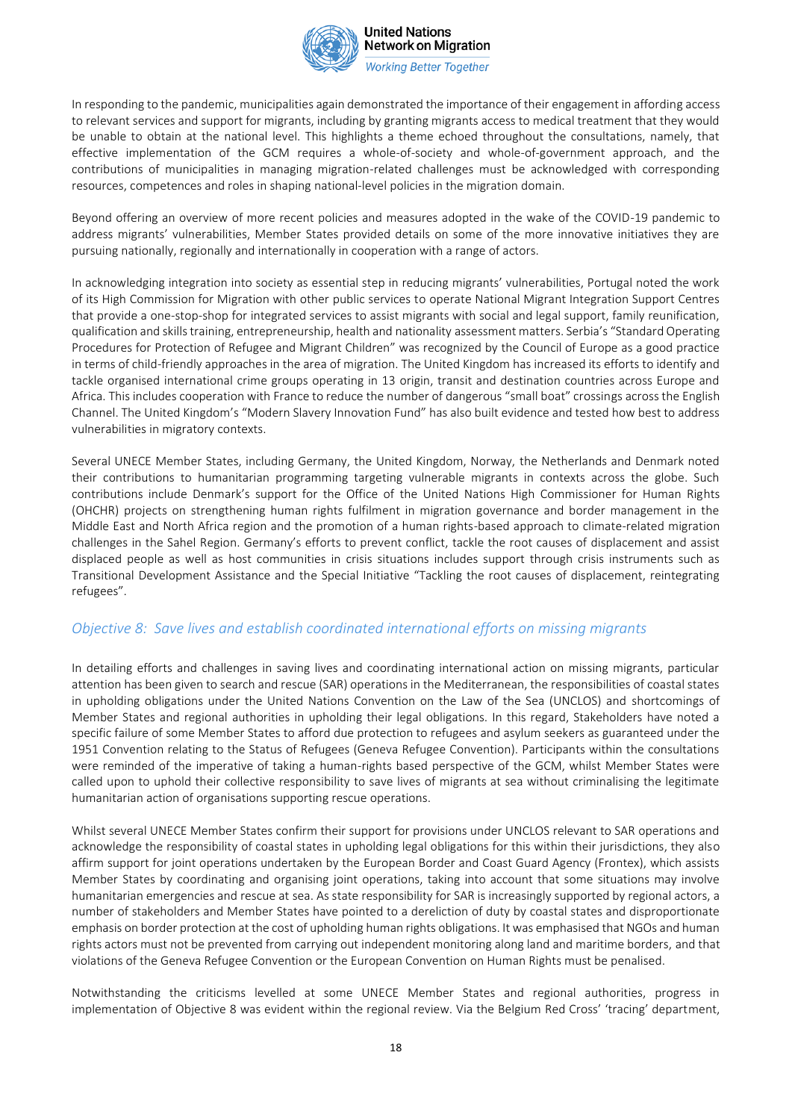

**Working Better Together** 

In responding to the pandemic, municipalities again demonstrated the importance of their engagement in affording access to relevant services and support for migrants, including by granting migrants access to medical treatment that they would be unable to obtain at the national level. This highlights a theme echoed throughout the consultations, namely, that effective implementation of the GCM requires a whole-of-society and whole-of-government approach, and the contributions of municipalities in managing migration-related challenges must be acknowledged with corresponding resources, competences and roles in shaping national-level policies in the migration domain.

Beyond offering an overview of more recent policies and measures adopted in the wake of the COVID-19 pandemic to address migrants' vulnerabilities, Member States provided details on some of the more innovative initiatives they are pursuing nationally, regionally and internationally in cooperation with a range of actors.

In acknowledging integration into society as essential step in reducing migrants' vulnerabilities, Portugal noted the work of its High Commission for Migration with other public services to operate National Migrant Integration Support Centres that provide a one-stop-shop for integrated services to assist migrants with social and legal support, family reunification, qualification and skills training, entrepreneurship, health and nationality assessment matters. Serbia's "Standard Operating Procedures for Protection of Refugee and Migrant Children" was recognized by the Council of Europe as a good practice in terms of child-friendly approaches in the area of migration. The United Kingdom has increased its efforts to identify and tackle organised international crime groups operating in 13 origin, transit and destination countries across Europe and Africa. This includes cooperation with France to reduce the number of dangerous "small boat" crossings across the English Channel. The United Kingdom's "Modern Slavery Innovation Fund" has also built evidence and tested how best to address vulnerabilities in migratory contexts.

Several UNECE Member States, including Germany, the United Kingdom, Norway, the Netherlands and Denmark noted their contributions to humanitarian programming targeting vulnerable migrants in contexts across the globe. Such contributions include Denmark's support for the Office of the United Nations High Commissioner for Human Rights (OHCHR) projects on strengthening human rights fulfilment in migration governance and border management in the Middle East and North Africa region and the promotion of a human rights-based approach to climate-related migration challenges in the Sahel Region. Germany's efforts to prevent conflict, tackle the root causes of displacement and assist displaced people as well as host communities in crisis situations includes support through crisis instruments such as Transitional Development Assistance and the Special Initiative "Tackling the root causes of displacement, reintegrating refugees".

#### *Objective 8: Save lives and establish coordinated international efforts on missing migrants*

In detailing efforts and challenges in saving lives and coordinating international action on missing migrants, particular attention has been given to search and rescue (SAR) operations in the Mediterranean, the responsibilities of coastal states in upholding obligations under the United Nations Convention on the Law of the Sea (UNCLOS) and shortcomings of Member States and regional authorities in upholding their legal obligations. In this regard, Stakeholders have noted a specific failure of some Member States to afford due protection to refugees and asylum seekers as guaranteed under the 1951 Convention relating to the Status of Refugees (Geneva Refugee Convention). Participants within the consultations were reminded of the imperative of taking a human-rights based perspective of the GCM, whilst Member States were called upon to uphold their collective responsibility to save lives of migrants at sea without criminalising the legitimate humanitarian action of organisations supporting rescue operations.

Whilst several UNECE Member States confirm their support for provisions under UNCLOS relevant to SAR operations and acknowledge the responsibility of coastal states in upholding legal obligations for this within their jurisdictions, they also affirm support for joint operations undertaken by the European Border and Coast Guard Agency (Frontex), which assists Member States by coordinating and organising joint operations, taking into account that some situations may involve humanitarian emergencies and rescue at sea. As state responsibility for SAR is increasingly supported by regional actors, a number of stakeholders and Member States have pointed to a dereliction of duty by coastal states and disproportionate emphasis on border protection at the cost of upholding human rights obligations. It was emphasised that NGOs and human rights actors must not be prevented from carrying out independent monitoring along land and maritime borders, and that violations of the Geneva Refugee Convention or the European Convention on Human Rights must be penalised.

Notwithstanding the criticisms levelled at some UNECE Member States and regional authorities, progress in implementation of Objective 8 was evident within the regional review. Via the Belgium Red Cross' 'tracing' department,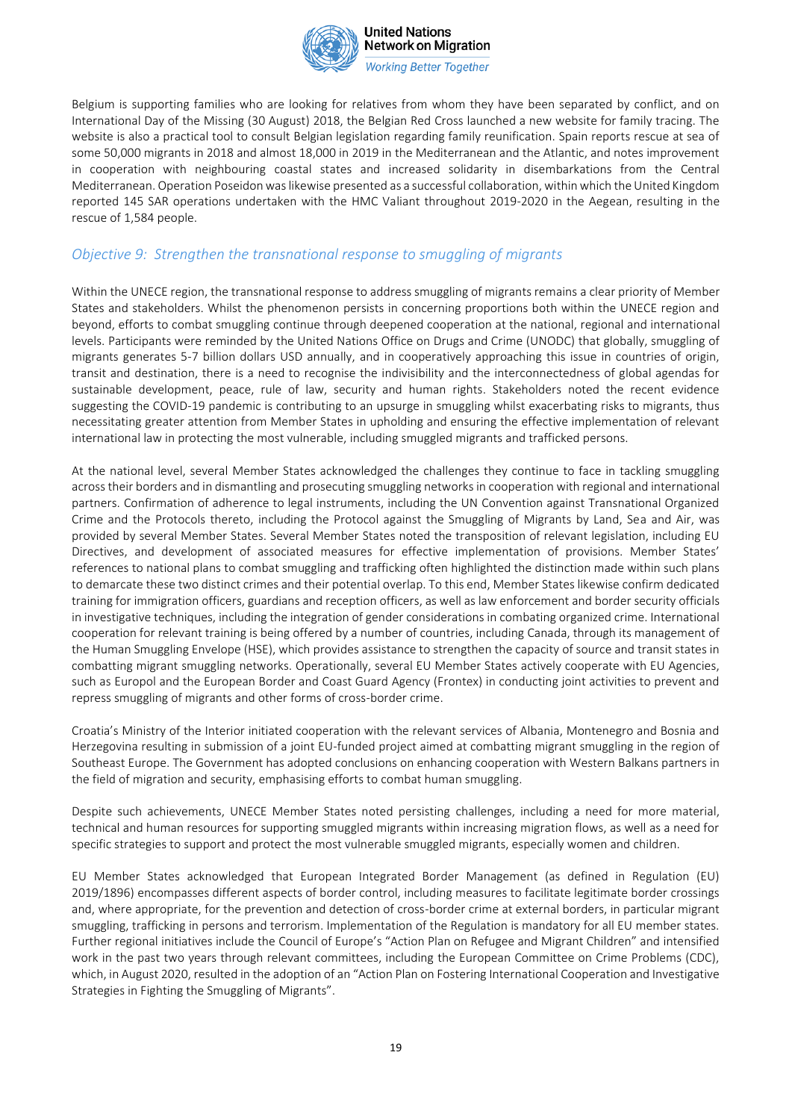

**Working Better Together** 

Belgium is supporting families who are looking for relatives from whom they have been separated by conflict, and on International Day of the Missing (30 August) 2018, the Belgian Red Cross launched a new website for family tracing. The website is also a practical tool to consult Belgian legislation regarding family reunification. Spain reports rescue at sea of some 50,000 migrants in 2018 and almost 18,000 in 2019 in the Mediterranean and the Atlantic, and notes improvement in cooperation with neighbouring coastal states and increased solidarity in disembarkations from the Central Mediterranean. Operation Poseidon was likewise presented as a successful collaboration, within which the United Kingdom reported 145 SAR operations undertaken with the HMC Valiant throughout 2019-2020 in the Aegean, resulting in the rescue of 1,584 people.

# *Objective 9: Strengthen the transnational response to smuggling of migrants*

Within the UNECE region, the transnational response to address smuggling of migrants remains a clear priority of Member States and stakeholders. Whilst the phenomenon persists in concerning proportions both within the UNECE region and beyond, efforts to combat smuggling continue through deepened cooperation at the national, regional and international levels. Participants were reminded by the United Nations Office on Drugs and Crime (UNODC) that globally, smuggling of migrants generates 5-7 billion dollars USD annually, and in cooperatively approaching this issue in countries of origin, transit and destination, there is a need to recognise the indivisibility and the interconnectedness of global agendas for sustainable development, peace, rule of law, security and human rights. Stakeholders noted the recent evidence suggesting the COVID-19 pandemic is contributing to an upsurge in smuggling whilst exacerbating risks to migrants, thus necessitating greater attention from Member States in upholding and ensuring the effective implementation of relevant international law in protecting the most vulnerable, including smuggled migrants and trafficked persons.

At the national level, several Member States acknowledged the challenges they continue to face in tackling smuggling across their borders and in dismantling and prosecuting smuggling networks in cooperation with regional and international partners. Confirmation of adherence to legal instruments, including the UN Convention against Transnational Organized Crime and the Protocols thereto, including the Protocol against the Smuggling of Migrants by Land, Sea and Air, was provided by several Member States. Several Member States noted the transposition of relevant legislation, including EU Directives, and development of associated measures for effective implementation of provisions. Member States' references to national plans to combat smuggling and trafficking often highlighted the distinction made within such plans to demarcate these two distinct crimes and their potential overlap. To this end, Member States likewise confirm dedicated training for immigration officers, guardians and reception officers, as well as law enforcement and border security officials in investigative techniques, including the integration of gender considerations in combating organized crime. International cooperation for relevant training is being offered by a number of countries, including Canada, through its management of the Human Smuggling Envelope (HSE), which provides assistance to strengthen the capacity of source and transit states in combatting migrant smuggling networks. Operationally, several EU Member States actively cooperate with EU Agencies, such as Europol and the European Border and Coast Guard Agency (Frontex) in conducting joint activities to prevent and repress smuggling of migrants and other forms of cross-border crime.

Croatia's Ministry of the Interior initiated cooperation with the relevant services of Albania, Montenegro and Bosnia and Herzegovina resulting in submission of a joint EU-funded project aimed at combatting migrant smuggling in the region of Southeast Europe. The Government has adopted conclusions on enhancing cooperation with Western Balkans partners in the field of migration and security, emphasising efforts to combat human smuggling.

Despite such achievements, UNECE Member States noted persisting challenges, including a need for more material, technical and human resources for supporting smuggled migrants within increasing migration flows, as well as a need for specific strategies to support and protect the most vulnerable smuggled migrants, especially women and children.

EU Member States acknowledged that European Integrated Border Management (as defined in Regulation (EU) 2019/1896) encompasses different aspects of border control, including measures to facilitate legitimate border crossings and, where appropriate, for the prevention and detection of cross-border crime at external borders, in particular migrant smuggling, trafficking in persons and terrorism. Implementation of the Regulation is mandatory for all EU member states. Further regional initiatives include the Council of Europe's "Action Plan on Refugee and Migrant Children" and intensified work in the past two years through relevant committees, including the European Committee on Crime Problems (CDC), which, in August 2020, resulted in the adoption of an "Action Plan on Fostering International Cooperation and Investigative Strategies in Fighting the Smuggling of Migrants".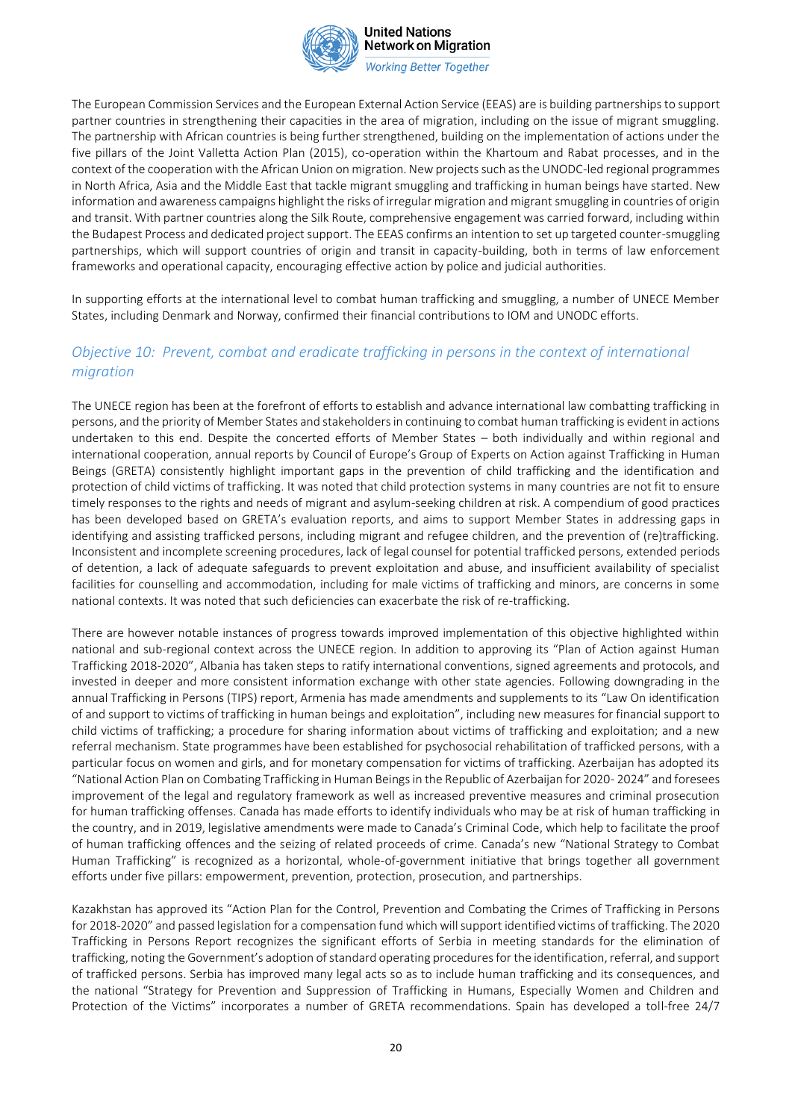

**Working Better Together** 

The European Commission Services and the European External Action Service (EEAS) are is building partnerships to support partner countries in strengthening their capacities in the area of migration, including on the issue of migrant smuggling. The partnership with African countries is being further strengthened, building on the implementation of actions under the five pillars of the Joint Valletta Action Plan (2015), co-operation within the Khartoum and Rabat processes, and in the context of the cooperation with the African Union on migration. New projects such as the UNODC-led regional programmes in North Africa, Asia and the Middle East that tackle migrant smuggling and trafficking in human beings have started. New information and awareness campaigns highlight the risks of irregular migration and migrant smuggling in countries of origin and transit. With partner countries along the Silk Route, comprehensive engagement was carried forward, including within the Budapest Process and dedicated project support. The EEAS confirms an intention to set up targeted counter-smuggling partnerships, which will support countries of origin and transit in capacity-building, both in terms of law enforcement frameworks and operational capacity, encouraging effective action by police and judicial authorities.

In supporting efforts at the international level to combat human trafficking and smuggling, a number of UNECE Member States, including Denmark and Norway, confirmed their financial contributions to IOM and UNODC efforts.

### *Objective 10: Prevent, combat and eradicate trafficking in persons in the context of international migration*

The UNECE region has been at the forefront of efforts to establish and advance international law combatting trafficking in persons, and the priority of Member States and stakeholders in continuing to combat human trafficking is evident in actions undertaken to this end. Despite the concerted efforts of Member States – both individually and within regional and international cooperation, annual reports by Council of Europe's Group of Experts on Action against Trafficking in Human Beings (GRETA) consistently highlight important gaps in the prevention of child trafficking and the identification and protection of child victims of trafficking. It was noted that child protection systems in many countries are not fit to ensure timely responses to the rights and needs of migrant and asylum-seeking children at risk. A compendium of good practices has been developed based on GRETA's evaluation reports, and aims to support Member States in addressing gaps in identifying and assisting trafficked persons, including migrant and refugee children, and the prevention of (re)trafficking. Inconsistent and incomplete screening procedures, lack of legal counsel for potential trafficked persons, extended periods of detention, a lack of adequate safeguards to prevent exploitation and abuse, and insufficient availability of specialist facilities for counselling and accommodation, including for male victims of trafficking and minors, are concerns in some national contexts. It was noted that such deficiencies can exacerbate the risk of re-trafficking.

There are however notable instances of progress towards improved implementation of this objective highlighted within national and sub-regional context across the UNECE region. In addition to approving its "Plan of Action against Human Trafficking 2018-2020", Albania has taken steps to ratify international conventions, signed agreements and protocols, and invested in deeper and more consistent information exchange with other state agencies. Following downgrading in the annual Trafficking in Persons (TIPS) report, Armenia has made amendments and supplements to its "Law On identification of and support to victims of trafficking in human beings and exploitation", including new measures for financial support to child victims of trafficking; a procedure for sharing information about victims of trafficking and exploitation; and a new referral mechanism. State programmes have been established for psychosocial rehabilitation of trafficked persons, with a particular focus on women and girls, and for monetary compensation for victims of trafficking. Azerbaijan has adopted its "National Action Plan on Combating Trafficking in Human Beings in the Republic of Azerbaijan for 2020- 2024" and foresees improvement of the legal and regulatory framework as well as increased preventive measures and criminal prosecution for human trafficking offenses. Canada has made efforts to identify individuals who may be at risk of human trafficking in the country, and in 2019, legislative amendments were made to Canada's Criminal Code, which help to facilitate the proof of human trafficking offences and the seizing of related proceeds of crime. Canada's new "National Strategy to Combat Human Trafficking" is recognized as a horizontal, whole-of-government initiative that brings together all government efforts under five pillars: empowerment, prevention, protection, prosecution, and partnerships.

Kazakhstan has approved its "Action Plan for the Control, Prevention and Combating the Crimes of Trafficking in Persons for 2018-2020" and passed legislation for a compensation fund which will support identified victims of trafficking. The 2020 Trafficking in Persons Report recognizes the significant efforts of Serbia in meeting standards for the elimination of trafficking, noting the Government's adoption of standard operating procedures for the identification, referral, and support of trafficked persons. Serbia has improved many legal acts so as to include human trafficking and its consequences, and the national "Strategy for Prevention and Suppression of Trafficking in Humans, Especially Women and Children and Protection of the Victims" incorporates a number of GRETA recommendations. Spain has developed a toll-free 24/7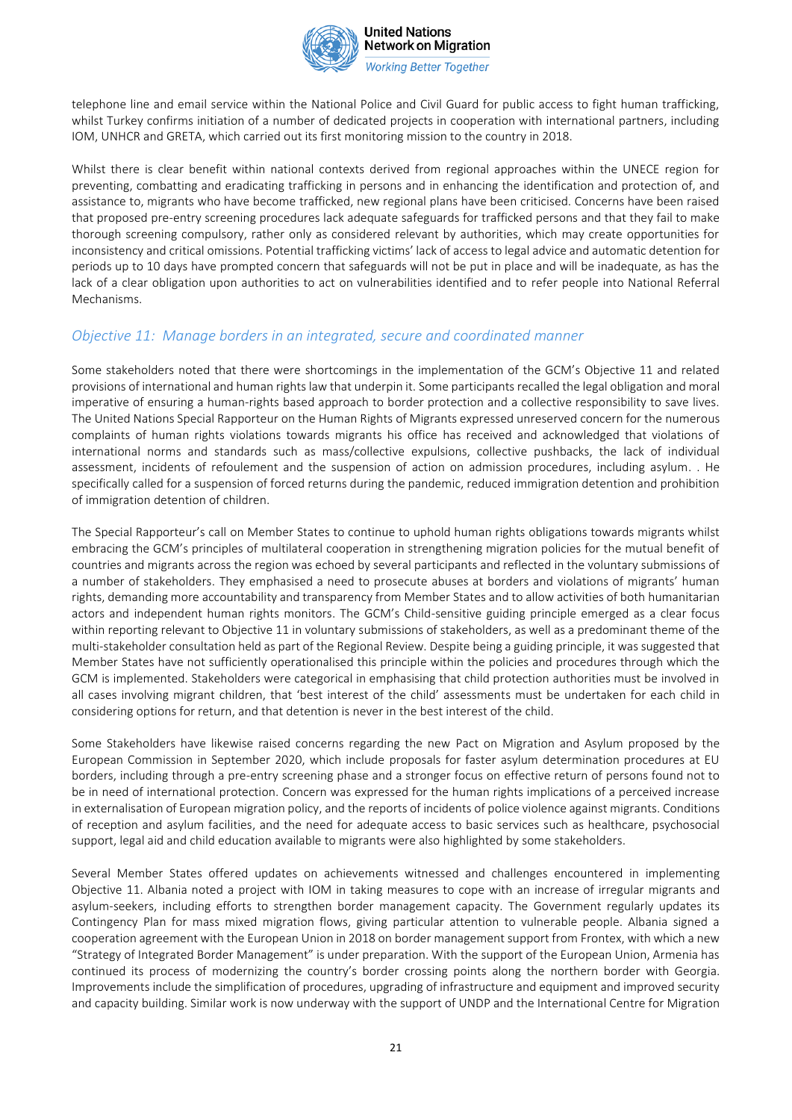

**Working Better Together** 

telephone line and email service within the National Police and Civil Guard for public access to fight human trafficking, whilst Turkey confirms initiation of a number of dedicated projects in cooperation with international partners, including IOM, UNHCR and GRETA, which carried out its first monitoring mission to the country in 2018.

Whilst there is clear benefit within national contexts derived from regional approaches within the UNECE region for preventing, combatting and eradicating trafficking in persons and in enhancing the identification and protection of, and assistance to, migrants who have become trafficked, new regional plans have been criticised. Concerns have been raised that proposed pre-entry screening procedures lack adequate safeguards for trafficked persons and that they fail to make thorough screening compulsory, rather only as considered relevant by authorities, which may create opportunities for inconsistency and critical omissions. Potential trafficking victims' lack of access to legal advice and automatic detention for periods up to 10 days have prompted concern that safeguards will not be put in place and will be inadequate, as has the lack of a clear obligation upon authorities to act on vulnerabilities identified and to refer people into National Referral Mechanisms.

#### *Objective 11: Manage borders in an integrated, secure and coordinated manner*

Some stakeholders noted that there were shortcomings in the implementation of the GCM's Objective 11 and related provisions of international and human rights law that underpin it. Some participants recalled the legal obligation and moral imperative of ensuring a human-rights based approach to border protection and a collective responsibility to save lives. The United Nations Special Rapporteur on the Human Rights of Migrants expressed unreserved concern for the numerous complaints of human rights violations towards migrants his office has received and acknowledged that violations of international norms and standards such as mass/collective expulsions, collective pushbacks, the lack of individual assessment, incidents of refoulement and the suspension of action on admission procedures, including asylum. . He specifically called for a suspension of forced returns during the pandemic, reduced immigration detention and prohibition of immigration detention of children.

The Special Rapporteur's call on Member States to continue to uphold human rights obligations towards migrants whilst embracing the GCM's principles of multilateral cooperation in strengthening migration policies for the mutual benefit of countries and migrants across the region was echoed by several participants and reflected in the voluntary submissions of a number of stakeholders. They emphasised a need to prosecute abuses at borders and violations of migrants' human rights, demanding more accountability and transparency from Member States and to allow activities of both humanitarian actors and independent human rights monitors. The GCM's Child-sensitive guiding principle emerged as a clear focus within reporting relevant to Objective 11 in voluntary submissions of stakeholders, as well as a predominant theme of the multi-stakeholder consultation held as part of the Regional Review. Despite being a guiding principle, it was suggested that Member States have not sufficiently operationalised this principle within the policies and procedures through which the GCM is implemented. Stakeholders were categorical in emphasising that child protection authorities must be involved in all cases involving migrant children, that 'best interest of the child' assessments must be undertaken for each child in considering options for return, and that detention is never in the best interest of the child.

Some Stakeholders have likewise raised concerns regarding the new Pact on Migration and Asylum proposed by the European Commission in September 2020, which include proposals for faster asylum determination procedures at EU borders, including through a pre-entry screening phase and a stronger focus on effective return of persons found not to be in need of international protection. Concern was expressed for the human rights implications of a perceived increase in externalisation of European migration policy, and the reports of incidents of police violence against migrants. Conditions of reception and asylum facilities, and the need for adequate access to basic services such as healthcare, psychosocial support, legal aid and child education available to migrants were also highlighted by some stakeholders.

Several Member States offered updates on achievements witnessed and challenges encountered in implementing Objective 11. Albania noted a project with IOM in taking measures to cope with an increase of irregular migrants and asylum-seekers, including efforts to strengthen border management capacity. The Government regularly updates its Contingency Plan for mass mixed migration flows, giving particular attention to vulnerable people. Albania signed a cooperation agreement with the European Union in 2018 on border management support from Frontex, with which a new "Strategy of Integrated Border Management" is under preparation. With the support of the European Union, Armenia has continued its process of modernizing the country's border crossing points along the northern border with Georgia. Improvements include the simplification of procedures, upgrading of infrastructure and equipment and improved security and capacity building. Similar work is now underway with the support of UNDP and the International Centre for Migration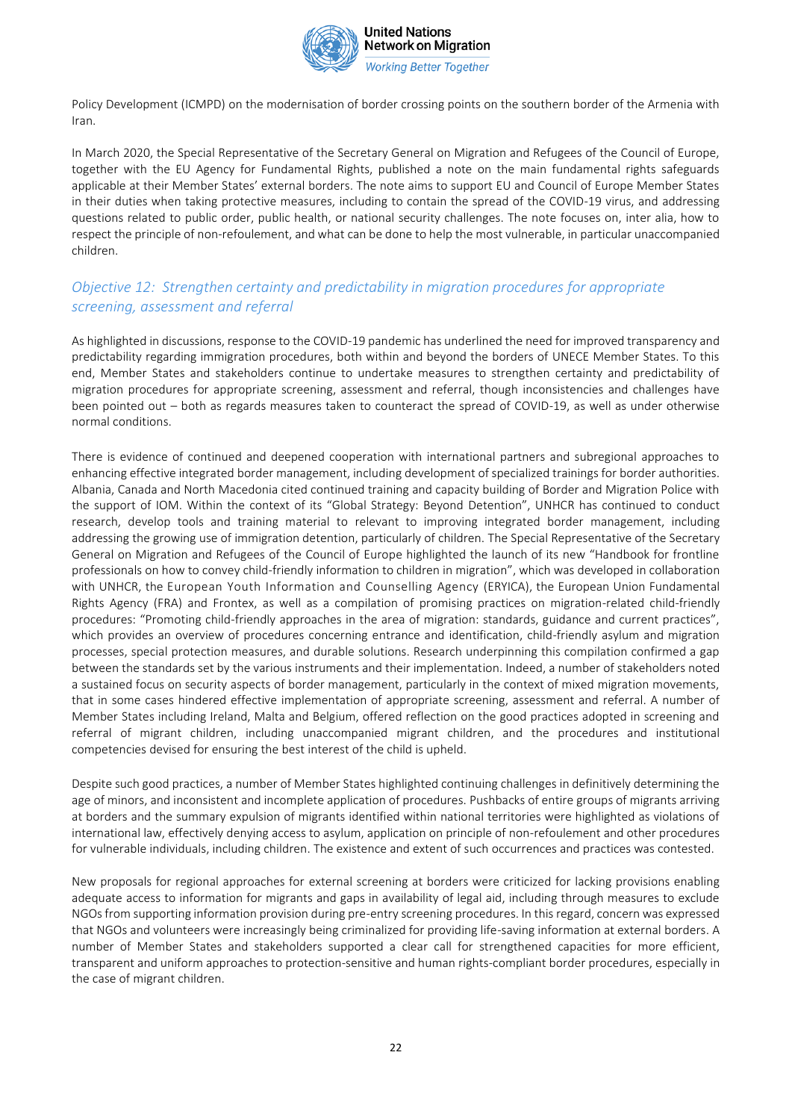

Policy Development (ICMPD) on the modernisation of border crossing points on the southern border of the Armenia with Iran.

In March 2020, the Special Representative of the Secretary General on Migration and Refugees of the Council of Europe, together with the EU Agency for Fundamental Rights, published a note on the main fundamental rights safeguards applicable at their Member States' external borders. The note aims to support EU and Council of Europe Member States in their duties when taking protective measures, including to contain the spread of the COVID-19 virus, and addressing questions related to public order, public health, or national security challenges. The note focuses on, inter alia, how to respect the principle of non-refoulement, and what can be done to help the most vulnerable, in particular unaccompanied children.

### *Objective 12: Strengthen certainty and predictability in migration procedures for appropriate screening, assessment and referral*

As highlighted in discussions, response to the COVID-19 pandemic has underlined the need for improved transparency and predictability regarding immigration procedures, both within and beyond the borders of UNECE Member States. To this end, Member States and stakeholders continue to undertake measures to strengthen certainty and predictability of migration procedures for appropriate screening, assessment and referral, though inconsistencies and challenges have been pointed out – both as regards measures taken to counteract the spread of COVID-19, as well as under otherwise normal conditions.

There is evidence of continued and deepened cooperation with international partners and subregional approaches to enhancing effective integrated border management, including development of specialized trainings for border authorities. Albania, Canada and North Macedonia cited continued training and capacity building of Border and Migration Police with the support of IOM. Within the context of its "Global Strategy: Beyond Detention", UNHCR has continued to conduct research, develop tools and training material to relevant to improving integrated border management, including addressing the growing use of immigration detention, particularly of children. The Special Representative of the Secretary General on Migration and Refugees of the Council of Europe highlighted the launch of its new "Handbook for frontline professionals on how to convey child-friendly information to children in migration", which was developed in collaboration with UNHCR, the European Youth Information and Counselling Agency (ERYICA), the European Union Fundamental Rights Agency (FRA) and Frontex, as well as a compilation of promising practices on migration-related child-friendly procedures: "Promoting child-friendly approaches in the area of migration: standards, guidance and current practices", which provides an overview of procedures concerning entrance and identification, child-friendly asylum and migration processes, special protection measures, and durable solutions. Research underpinning this compilation confirmed a gap between the standards set by the various instruments and their implementation. Indeed, a number of stakeholders noted a sustained focus on security aspects of border management, particularly in the context of mixed migration movements, that in some cases hindered effective implementation of appropriate screening, assessment and referral. A number of Member States including Ireland, Malta and Belgium, offered reflection on the good practices adopted in screening and referral of migrant children, including unaccompanied migrant children, and the procedures and institutional competencies devised for ensuring the best interest of the child is upheld.

Despite such good practices, a number of Member States highlighted continuing challenges in definitively determining the age of minors, and inconsistent and incomplete application of procedures. Pushbacks of entire groups of migrants arriving at borders and the summary expulsion of migrants identified within national territories were highlighted as violations of international law, effectively denying access to asylum, application on principle of non-refoulement and other procedures for vulnerable individuals, including children. The existence and extent of such occurrences and practices was contested.

New proposals for regional approaches for external screening at borders were criticized for lacking provisions enabling adequate access to information for migrants and gaps in availability of legal aid, including through measures to exclude NGOs from supporting information provision during pre-entry screening procedures. In this regard, concern was expressed that NGOs and volunteers were increasingly being criminalized for providing life-saving information at external borders. A number of Member States and stakeholders supported a clear call for strengthened capacities for more efficient, transparent and uniform approaches to protection-sensitive and human rights-compliant border procedures, especially in the case of migrant children.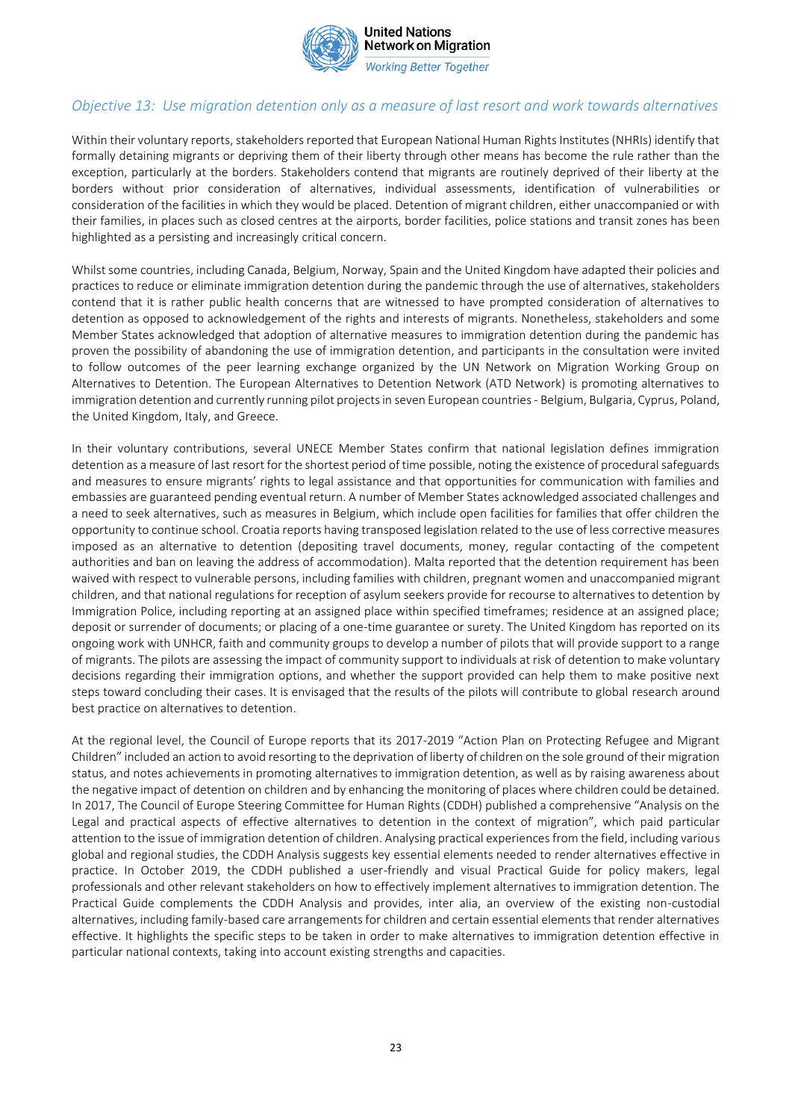

## *Objective 13: Use migration detention only as a measure of last resort and work towards alternatives*

Within their voluntary reports, stakeholders reported that European National Human Rights Institutes (NHRIs) identify that formally detaining migrants or depriving them of their liberty through other means has become the rule rather than the exception, particularly at the borders. Stakeholders contend that migrants are routinely deprived of their liberty at the borders without prior consideration of alternatives, individual assessments, identification of vulnerabilities or consideration of the facilities in which they would be placed. Detention of migrant children, either unaccompanied or with their families, in places such as closed centres at the airports, border facilities, police stations and transit zones has been highlighted as a persisting and increasingly critical concern.

Whilst some countries, including Canada, Belgium, Norway, Spain and the United Kingdom have adapted their policies and practices to reduce or eliminate immigration detention during the pandemic through the use of alternatives, stakeholders contend that it is rather public health concerns that are witnessed to have prompted consideration of alternatives to detention as opposed to acknowledgement of the rights and interests of migrants. Nonetheless, stakeholders and some Member States acknowledged that adoption of alternative measures to immigration detention during the pandemic has proven the possibility of abandoning the use of immigration detention, and participants in the consultation were invited to follow outcomes of the peer learning exchange organized by the UN Network on Migration Working Group on Alternatives to Detention. The European Alternatives to Detention Network (ATD Network) is promoting alternatives to immigration detention and currently running pilot projects in seven European countries - Belgium, Bulgaria, Cyprus, Poland, the United Kingdom, Italy, and Greece.

In their voluntary contributions, several UNECE Member States confirm that national legislation defines immigration detention as a measure of last resort for the shortest period of time possible, noting the existence of procedural safeguards and measures to ensure migrants' rights to legal assistance and that opportunities for communication with families and embassies are guaranteed pending eventual return. A number of Member States acknowledged associated challenges and a need to seek alternatives, such as measures in Belgium, which include open facilities for families that offer children the opportunity to continue school. Croatia reports having transposed legislation related to the use of less corrective measures imposed as an alternative to detention (depositing travel documents, money, regular contacting of the competent authorities and ban on leaving the address of accommodation). Malta reported that the detention requirement has been waived with respect to vulnerable persons, including families with children, pregnant women and unaccompanied migrant children, and that national regulations for reception of asylum seekers provide for recourse to alternatives to detention by Immigration Police, including reporting at an assigned place within specified timeframes; residence at an assigned place; deposit or surrender of documents; or placing of a one-time guarantee or surety. The United Kingdom has reported on its ongoing work with UNHCR, faith and community groups to develop a number of pilots that will provide support to a range of migrants. The pilots are assessing the impact of community support to individuals at risk of detention to make voluntary decisions regarding their immigration options, and whether the support provided can help them to make positive next steps toward concluding their cases. It is envisaged that the results of the pilots will contribute to global research around best practice on alternatives to detention.

At the regional level, the Council of Europe reports that its 2017-2019 "Action Plan on Protecting Refugee and Migrant Children" included an action to avoid resorting to the deprivation of liberty of children on the sole ground of their migration status, and notes achievements in promoting alternatives to immigration detention, as well as by raising awareness about the negative impact of detention on children and by enhancing the monitoring of places where children could be detained. In 2017, The Council of Europe Steering Committee for Human Rights (CDDH) published a comprehensive "Analysis on the Legal and practical aspects of effective alternatives to detention in the context of migration", which paid particular attention to the issue of immigration detention of children. Analysing practical experiences from the field, including various global and regional studies, the CDDH Analysis suggests key essential elements needed to render alternatives effective in practice. In October 2019, the CDDH published a user-friendly and visual Practical Guide for policy makers, legal professionals and other relevant stakeholders on how to effectively implement alternatives to immigration detention. The Practical Guide complements the CDDH Analysis and provides, inter alia, an overview of the existing non-custodial alternatives, including family-based care arrangements for children and certain essential elements that render alternatives effective. It highlights the specific steps to be taken in order to make alternatives to immigration detention effective in particular national contexts, taking into account existing strengths and capacities.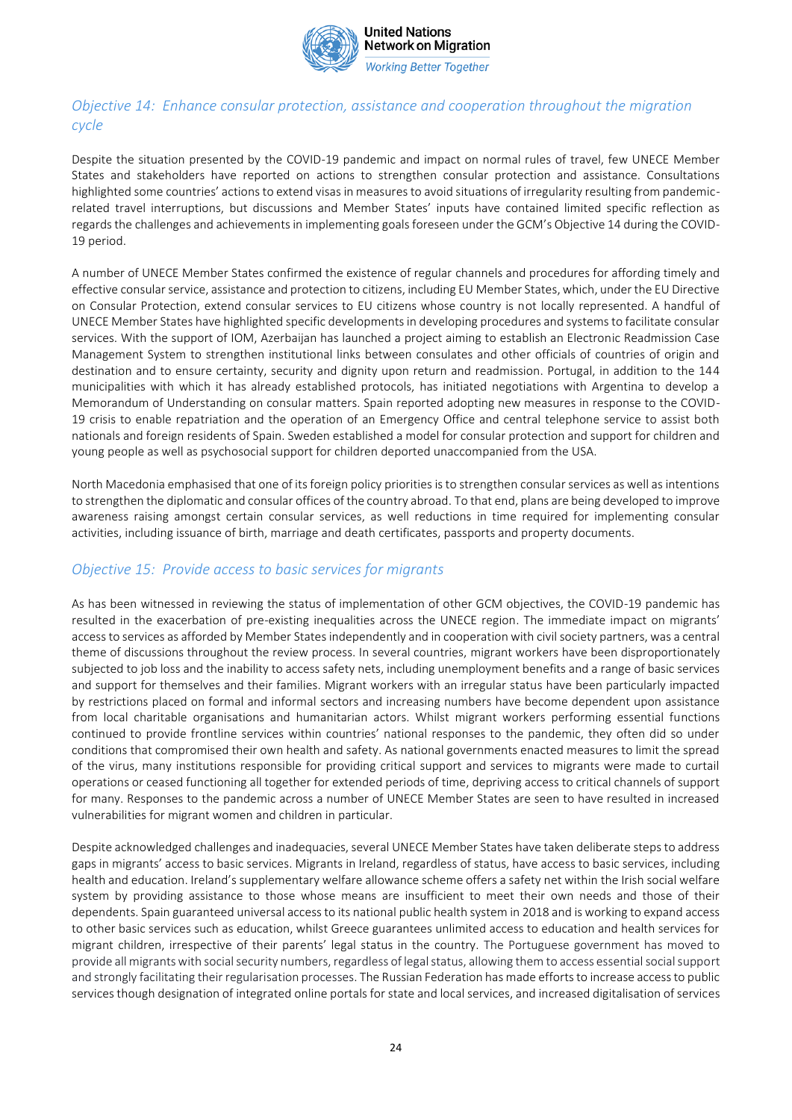

# *Objective 14: Enhance consular protection, assistance and cooperation throughout the migration cycle*

Despite the situation presented by the COVID-19 pandemic and impact on normal rules of travel, few UNECE Member States and stakeholders have reported on actions to strengthen consular protection and assistance. Consultations highlighted some countries' actions to extend visas in measures to avoid situations of irregularity resulting from pandemicrelated travel interruptions, but discussions and Member States' inputs have contained limited specific reflection as regards the challenges and achievements in implementing goals foreseen under the GCM's Objective 14 during the COVID-19 period.

A number of UNECE Member States confirmed the existence of regular channels and procedures for affording timely and effective consular service, assistance and protection to citizens, including EU Member States, which, under the EU Directive on Consular Protection, extend consular services to EU citizens whose country is not locally represented. A handful of UNECE Member States have highlighted specific developments in developing procedures and systems to facilitate consular services. With the support of IOM, Azerbaijan has launched a project aiming to establish an Electronic Readmission Case Management System to strengthen institutional links between consulates and other officials of countries of origin and destination and to ensure certainty, security and dignity upon return and readmission. Portugal, in addition to the 144 municipalities with which it has already established protocols, has initiated negotiations with Argentina to develop a Memorandum of Understanding on consular matters. Spain reported adopting new measures in response to the COVID-19 crisis to enable repatriation and the operation of an Emergency Office and central telephone service to assist both nationals and foreign residents of Spain. Sweden established a model for consular protection and support for children and young people as well as psychosocial support for children deported unaccompanied from the USA.

North Macedonia emphasised that one of its foreign policy priorities is to strengthen consular services as well as intentions to strengthen the diplomatic and consular offices of the country abroad. To that end, plans are being developed to improve awareness raising amongst certain consular services, as well reductions in time required for implementing consular activities, including issuance of birth, marriage and death certificates, passports and property documents.

### *Objective 15: Provide access to basic services for migrants*

As has been witnessed in reviewing the status of implementation of other GCM objectives, the COVID-19 pandemic has resulted in the exacerbation of pre-existing inequalities across the UNECE region. The immediate impact on migrants' access to services as afforded by Member States independently and in cooperation with civil society partners, was a central theme of discussions throughout the review process. In several countries, migrant workers have been disproportionately subjected to job loss and the inability to access safety nets, including unemployment benefits and a range of basic services and support for themselves and their families. Migrant workers with an irregular status have been particularly impacted by restrictions placed on formal and informal sectors and increasing numbers have become dependent upon assistance from local charitable organisations and humanitarian actors. Whilst migrant workers performing essential functions continued to provide frontline services within countries' national responses to the pandemic, they often did so under conditions that compromised their own health and safety. As national governments enacted measures to limit the spread of the virus, many institutions responsible for providing critical support and services to migrants were made to curtail operations or ceased functioning all together for extended periods of time, depriving access to critical channels of support for many. Responses to the pandemic across a number of UNECE Member States are seen to have resulted in increased vulnerabilities for migrant women and children in particular.

Despite acknowledged challenges and inadequacies, several UNECE Member States have taken deliberate steps to address gaps in migrants' access to basic services. Migrants in Ireland, regardless of status, have access to basic services, including health and education. Ireland's supplementary welfare allowance scheme offers a safety net within the Irish social welfare system by providing assistance to those whose means are insufficient to meet their own needs and those of their dependents. Spain guaranteed universal access to its national public health system in 2018 and is working to expand access to other basic services such as education, whilst Greece guarantees unlimited access to education and health services for migrant children, irrespective of their parents' legal status in the country. The Portuguese government has moved to provide all migrants with social security numbers, regardless of legal status, allowing them to access essential social support and strongly facilitating their regularisation processes. The Russian Federation has made efforts to increase access to public services though designation of integrated online portals for state and local services, and increased digitalisation of services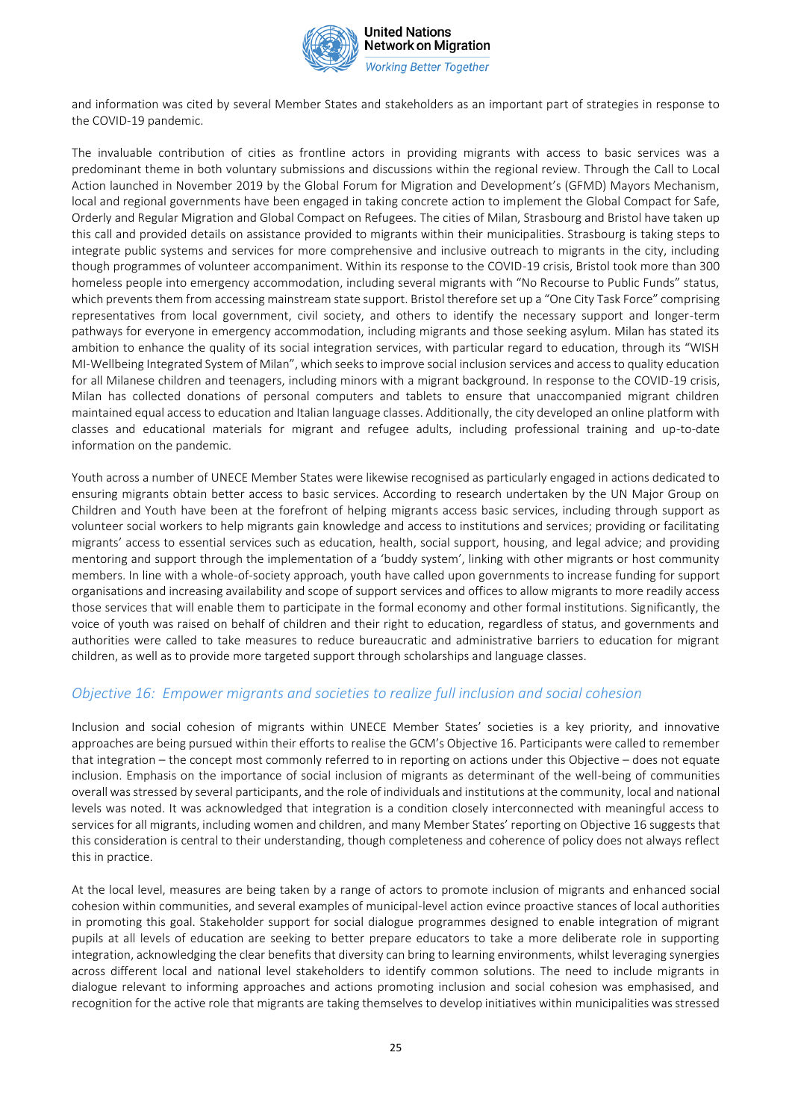

and information was cited by several Member States and stakeholders as an important part of strategies in response to the COVID-19 pandemic.

The invaluable contribution of cities as frontline actors in providing migrants with access to basic services was a predominant theme in both voluntary submissions and discussions within the regional review. Through the Call to Local Action launched in November 2019 by the Global Forum for Migration and Development's (GFMD) Mayors Mechanism, local and regional governments have been engaged in taking concrete action to implement the Global Compact for Safe, Orderly and Regular Migration and Global Compact on Refugees. The cities of Milan, Strasbourg and Bristol have taken up this call and provided details on assistance provided to migrants within their municipalities. Strasbourg is taking steps to integrate public systems and services for more comprehensive and inclusive outreach to migrants in the city, including though programmes of volunteer accompaniment. Within its response to the COVID-19 crisis, Bristol took more than 300 homeless people into emergency accommodation, including several migrants with "No Recourse to Public Funds" status, which prevents them from accessing mainstream state support. Bristol therefore set up a "One City Task Force" comprising representatives from local government, civil society, and others to identify the necessary support and longer-term pathways for everyone in emergency accommodation, including migrants and those seeking asylum. Milan has stated its ambition to enhance the quality of its social integration services, with particular regard to education, through its "WISH MI-Wellbeing Integrated System of Milan", which seeks to improve social inclusion services and access to quality education for all Milanese children and teenagers, including minors with a migrant background. In response to the COVID-19 crisis, Milan has collected donations of personal computers and tablets to ensure that unaccompanied migrant children maintained equal access to education and Italian language classes. Additionally, the city developed an online platform with classes and educational materials for migrant and refugee adults, including professional training and up-to-date information on the pandemic.

Youth across a number of UNECE Member States were likewise recognised as particularly engaged in actions dedicated to ensuring migrants obtain better access to basic services. According to research undertaken by the UN Major Group on Children and Youth have been at the forefront of helping migrants access basic services, including through support as volunteer social workers to help migrants gain knowledge and access to institutions and services; providing or facilitating migrants' access to essential services such as education, health, social support, housing, and legal advice; and providing mentoring and support through the implementation of a 'buddy system', linking with other migrants or host community members. In line with a whole-of-society approach, youth have called upon governments to increase funding for support organisations and increasing availability and scope of support services and offices to allow migrants to more readily access those services that will enable them to participate in the formal economy and other formal institutions. Significantly, the voice of youth was raised on behalf of children and their right to education, regardless of status, and governments and authorities were called to take measures to reduce bureaucratic and administrative barriers to education for migrant children, as well as to provide more targeted support through scholarships and language classes.

#### *Objective 16: Empower migrants and societies to realize full inclusion and social cohesion*

Inclusion and social cohesion of migrants within UNECE Member States' societies is a key priority, and innovative approaches are being pursued within their efforts to realise the GCM's Objective 16. Participants were called to remember that integration – the concept most commonly referred to in reporting on actions under this Objective – does not equate inclusion. Emphasis on the importance of social inclusion of migrants as determinant of the well-being of communities overall was stressed by several participants, and the role of individuals and institutions at the community, local and national levels was noted. It was acknowledged that integration is a condition closely interconnected with meaningful access to services for all migrants, including women and children, and many Member States' reporting on Objective 16 suggests that this consideration is central to their understanding, though completeness and coherence of policy does not always reflect this in practice.

At the local level, measures are being taken by a range of actors to promote inclusion of migrants and enhanced social cohesion within communities, and several examples of municipal-level action evince proactive stances of local authorities in promoting this goal. Stakeholder support for social dialogue programmes designed to enable integration of migrant pupils at all levels of education are seeking to better prepare educators to take a more deliberate role in supporting integration, acknowledging the clear benefits that diversity can bring to learning environments, whilst leveraging synergies across different local and national level stakeholders to identify common solutions. The need to include migrants in dialogue relevant to informing approaches and actions promoting inclusion and social cohesion was emphasised, and recognition for the active role that migrants are taking themselves to develop initiatives within municipalities was stressed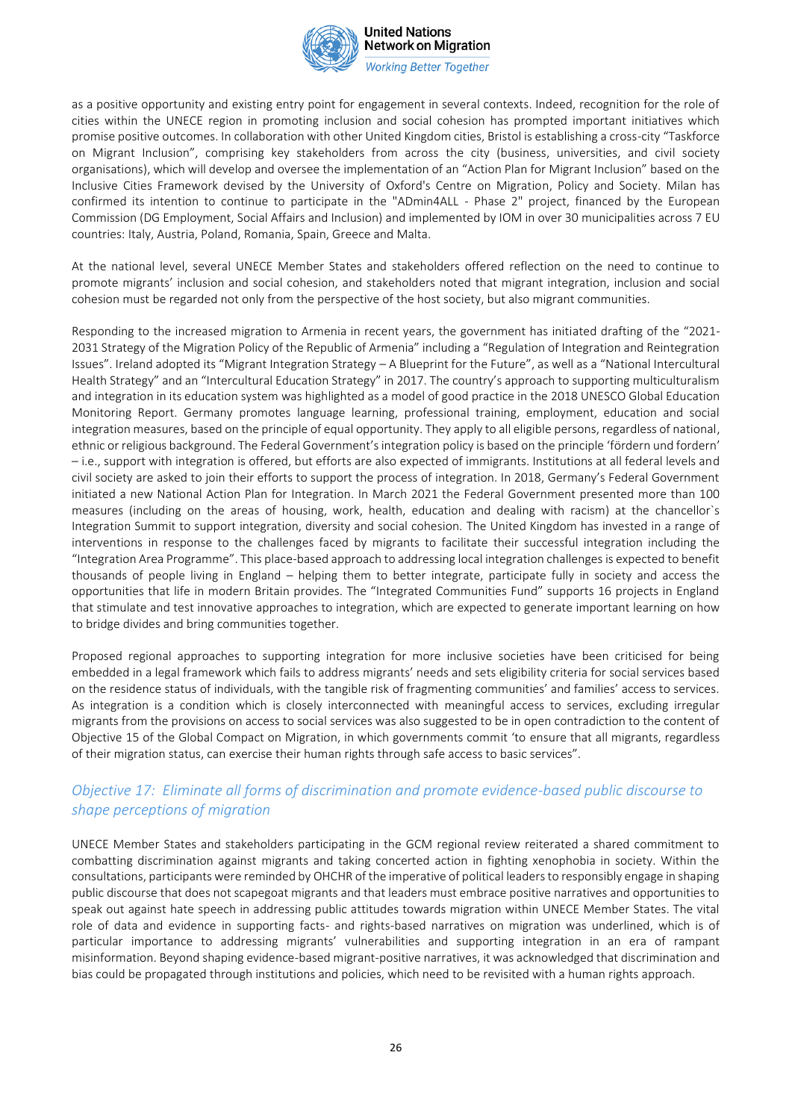

**Working Better Together** 

as a positive opportunity and existing entry point for engagement in several contexts. Indeed, recognition for the role of cities within the UNECE region in promoting inclusion and social cohesion has prompted important initiatives which promise positive outcomes. In collaboration with other United Kingdom cities, Bristol is establishing a cross-city "Taskforce on Migrant Inclusion", comprising key stakeholders from across the city (business, universities, and civil society organisations), which will develop and oversee the implementation of an "Action Plan for Migrant Inclusion" based on the Inclusive Cities Framework devised by the University of Oxford's Centre on Migration, Policy and Society. Milan has confirmed its intention to continue to participate in the "ADmin4ALL - Phase 2" project, financed by the European Commission (DG Employment, Social Affairs and Inclusion) and implemented by IOM in over 30 municipalities across 7 EU countries: Italy, Austria, Poland, Romania, Spain, Greece and Malta.

At the national level, several UNECE Member States and stakeholders offered reflection on the need to continue to promote migrants' inclusion and social cohesion, and stakeholders noted that migrant integration, inclusion and social cohesion must be regarded not only from the perspective of the host society, but also migrant communities.

Responding to the increased migration to Armenia in recent years, the government has initiated drafting of the "2021- 2031 Strategy of the Migration Policy of the Republic of Armenia" including a "Regulation of Integration and Reintegration Issues". Ireland adopted its "Migrant Integration Strategy – A Blueprint for the Future", as well as a "National Intercultural Health Strategy" and an "Intercultural Education Strategy" in 2017. The country's approach to supporting multiculturalism and integration in its education system was highlighted as a model of good practice in the 2018 UNESCO Global Education Monitoring Report. Germany promotes language learning, professional training, employment, education and social integration measures, based on the principle of equal opportunity. They apply to all eligible persons, regardless of national, ethnic or religious background. The Federal Government's integration policy is based on the principle 'fördern und fordern' – i.e., support with integration is offered, but efforts are also expected of immigrants. Institutions at all federal levels and civil society are asked to join their efforts to support the process of integration. In 2018, Germany's Federal Government initiated a new National Action Plan for Integration. In March 2021 the Federal Government presented more than 100 measures (including on the areas of housing, work, health, education and dealing with racism) at the chancellor`s Integration Summit to support integration, diversity and social cohesion. The United Kingdom has invested in a range of interventions in response to the challenges faced by migrants to facilitate their successful integration including the "Integration Area Programme". This place-based approach to addressing local integration challenges is expected to benefit thousands of people living in England – helping them to better integrate, participate fully in society and access the opportunities that life in modern Britain provides. The "Integrated Communities Fund" supports 16 projects in England that stimulate and test innovative approaches to integration, which are expected to generate important learning on how to bridge divides and bring communities together.

Proposed regional approaches to supporting integration for more inclusive societies have been criticised for being embedded in a legal framework which fails to address migrants' needs and sets eligibility criteria for social services based on the residence status of individuals, with the tangible risk of fragmenting communities' and families' access to services. As integration is a condition which is closely interconnected with meaningful access to services, excluding irregular migrants from the provisions on access to social services was also suggested to be in open contradiction to the content of Objective 15 of the Global Compact on Migration, in which governments commit 'to ensure that all migrants, regardless of their migration status, can exercise their human rights through safe access to basic services".

### *Objective 17: Eliminate all forms of discrimination and promote evidence-based public discourse to shape perceptions of migration*

UNECE Member States and stakeholders participating in the GCM regional review reiterated a shared commitment to combatting discrimination against migrants and taking concerted action in fighting xenophobia in society. Within the consultations, participants were reminded by OHCHR of the imperative of political leaders to responsibly engage in shaping public discourse that does not scapegoat migrants and that leaders must embrace positive narratives and opportunities to speak out against hate speech in addressing public attitudes towards migration within UNECE Member States. The vital role of data and evidence in supporting facts- and rights-based narratives on migration was underlined, which is of particular importance to addressing migrants' vulnerabilities and supporting integration in an era of rampant misinformation. Beyond shaping evidence-based migrant-positive narratives, it was acknowledged that discrimination and bias could be propagated through institutions and policies, which need to be revisited with a human rights approach.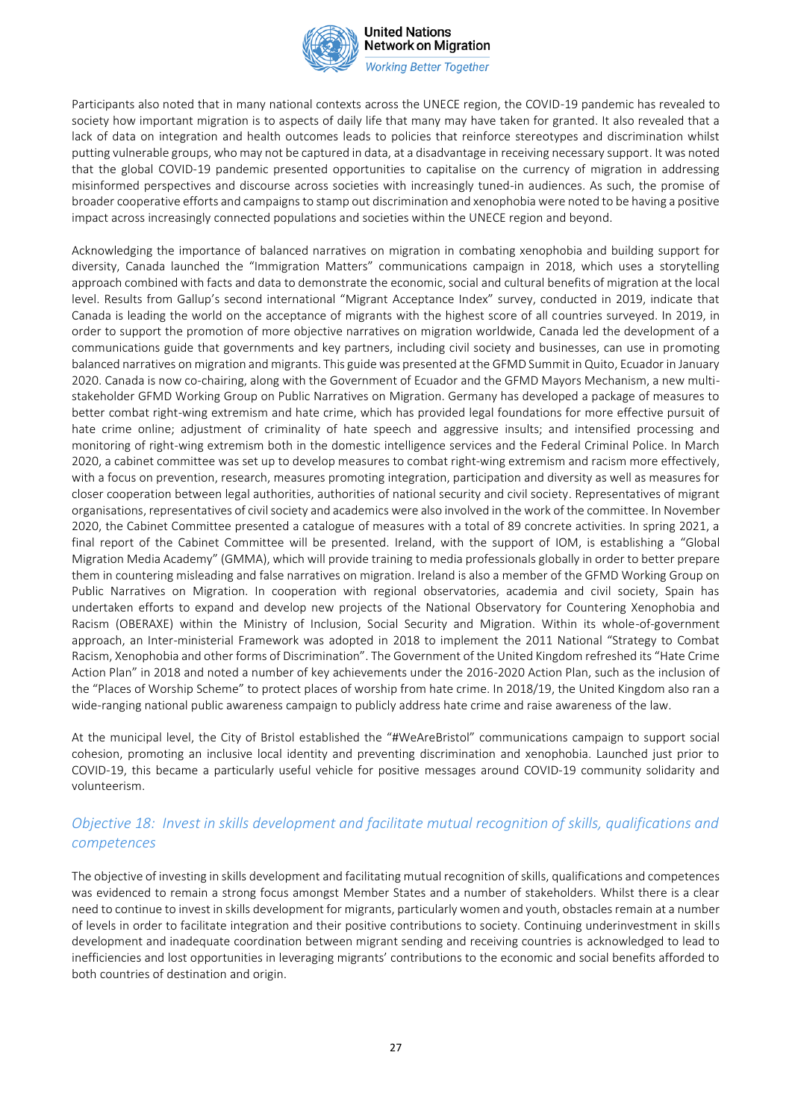

**Working Better Together** 

Participants also noted that in many national contexts across the UNECE region, the COVID-19 pandemic has revealed to society how important migration is to aspects of daily life that many may have taken for granted. It also revealed that a lack of data on integration and health outcomes leads to policies that reinforce stereotypes and discrimination whilst putting vulnerable groups, who may not be captured in data, at a disadvantage in receiving necessary support. It was noted that the global COVID-19 pandemic presented opportunities to capitalise on the currency of migration in addressing misinformed perspectives and discourse across societies with increasingly tuned-in audiences. As such, the promise of broader cooperative efforts and campaigns to stamp out discrimination and xenophobia were noted to be having a positive impact across increasingly connected populations and societies within the UNECE region and beyond.

Acknowledging the importance of balanced narratives on migration in combating xenophobia and building support for diversity, Canada launched the "Immigration Matters" communications campaign in 2018, which uses a storytelling approach combined with facts and data to demonstrate the economic, social and cultural benefits of migration at the local level. Results from Gallup's second international "Migrant Acceptance Index" survey, conducted in 2019, indicate that Canada is leading the world on the acceptance of migrants with the highest score of all countries surveyed. In 2019, in order to support the promotion of more objective narratives on migration worldwide, Canada led the development of a communications guide that governments and key partners, including civil society and businesses, can use in promoting balanced narratives on migration and migrants. This guide was presented at the GFMD Summit in Quito, Ecuador in January 2020. Canada is now co-chairing, along with the Government of Ecuador and the GFMD Mayors Mechanism, a new multistakeholder GFMD Working Group on Public Narratives on Migration. Germany has developed a package of measures to better combat right-wing extremism and hate crime, which has provided legal foundations for more effective pursuit of hate crime online; adjustment of criminality of hate speech and aggressive insults; and intensified processing and monitoring of right-wing extremism both in the domestic intelligence services and the Federal Criminal Police. In March 2020, a cabinet committee was set up to develop measures to combat right-wing extremism and racism more effectively, with a focus on prevention, research, measures promoting integration, participation and diversity as well as measures for closer cooperation between legal authorities, authorities of national security and civil society. Representatives of migrant organisations, representatives of civil society and academics were also involved in the work of the committee. In November 2020, the Cabinet Committee presented a catalogue of measures with a total of 89 concrete activities. In spring 2021, a final report of the Cabinet Committee will be presented. Ireland, with the support of IOM, is establishing a "Global Migration Media Academy" (GMMA), which will provide training to media professionals globally in order to better prepare them in countering misleading and false narratives on migration. Ireland is also a member of the GFMD Working Group on Public Narratives on Migration. In cooperation with regional observatories, academia and civil society, Spain has undertaken efforts to expand and develop new projects of the National Observatory for Countering Xenophobia and Racism (OBERAXE) within the Ministry of Inclusion, Social Security and Migration. Within its whole-of-government approach, an Inter-ministerial Framework was adopted in 2018 to implement the 2011 National "Strategy to Combat Racism, Xenophobia and other forms of Discrimination". The Government of the United Kingdom refreshed its "Hate Crime Action Plan" in 2018 and noted a number of key achievements under the 2016-2020 Action Plan, such as the inclusion of the "Places of Worship Scheme" to protect places of worship from hate crime. In 2018/19, the United Kingdom also ran a wide-ranging national public awareness campaign to publicly address hate crime and raise awareness of the law.

At the municipal level, the City of Bristol established the "#WeAreBristol" communications campaign to support social cohesion, promoting an inclusive local identity and preventing discrimination and xenophobia. Launched just prior to COVID-19, this became a particularly useful vehicle for positive messages around COVID-19 community solidarity and volunteerism.

### *Objective 18: Invest in skills development and facilitate mutual recognition of skills, qualifications and competences*

The objective of investing in skills development and facilitating mutual recognition of skills, qualifications and competences was evidenced to remain a strong focus amongst Member States and a number of stakeholders. Whilst there is a clear need to continue to invest in skills development for migrants, particularly women and youth, obstacles remain at a number of levels in order to facilitate integration and their positive contributions to society. Continuing underinvestment in skills development and inadequate coordination between migrant sending and receiving countries is acknowledged to lead to inefficiencies and lost opportunities in leveraging migrants' contributions to the economic and social benefits afforded to both countries of destination and origin.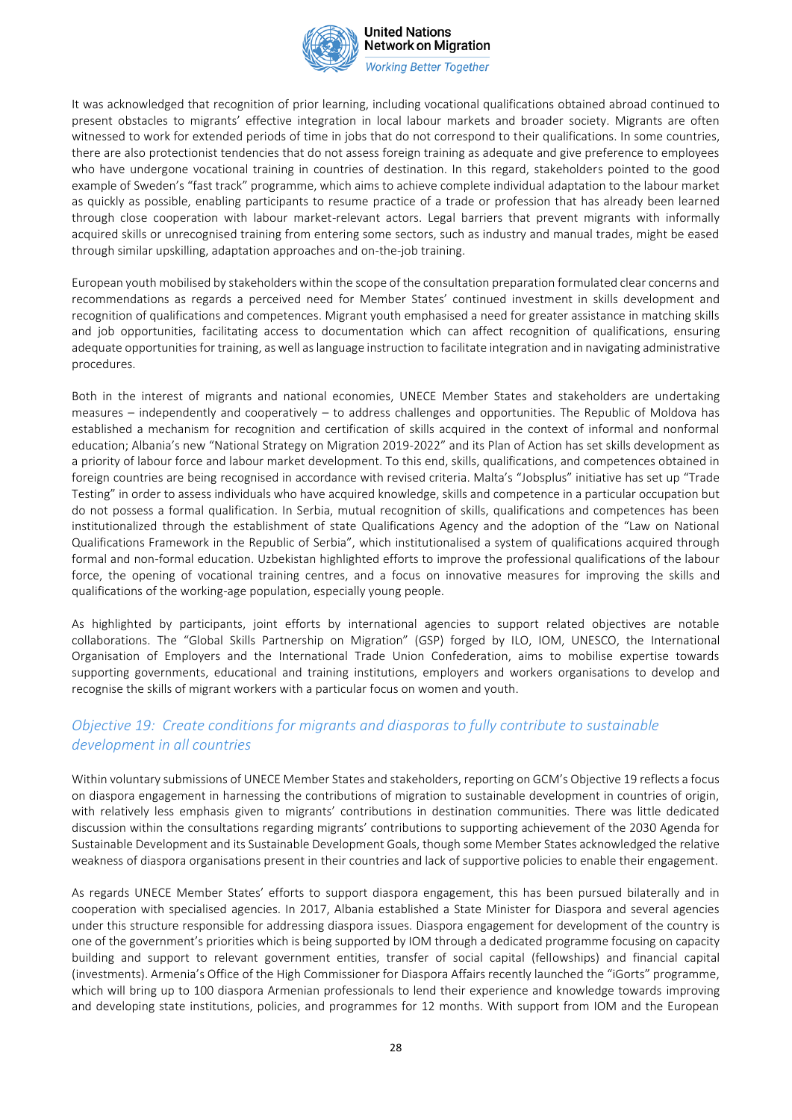

**Working Better Together** 

It was acknowledged that recognition of prior learning, including vocational qualifications obtained abroad continued to present obstacles to migrants' effective integration in local labour markets and broader society. Migrants are often witnessed to work for extended periods of time in jobs that do not correspond to their qualifications. In some countries, there are also protectionist tendencies that do not assess foreign training as adequate and give preference to employees who have undergone vocational training in countries of destination. In this regard, stakeholders pointed to the good example of Sweden's "fast track" programme, which aims to achieve complete individual adaptation to the labour market as quickly as possible, enabling participants to resume practice of a trade or profession that has already been learned through close cooperation with labour market-relevant actors. Legal barriers that prevent migrants with informally acquired skills or unrecognised training from entering some sectors, such as industry and manual trades, might be eased through similar upskilling, adaptation approaches and on-the-job training.

European youth mobilised by stakeholders within the scope of the consultation preparation formulated clear concerns and recommendations as regards a perceived need for Member States' continued investment in skills development and recognition of qualifications and competences. Migrant youth emphasised a need for greater assistance in matching skills and job opportunities, facilitating access to documentation which can affect recognition of qualifications, ensuring adequate opportunities for training, as well as language instruction to facilitate integration and in navigating administrative procedures.

Both in the interest of migrants and national economies, UNECE Member States and stakeholders are undertaking measures – independently and cooperatively – to address challenges and opportunities. The Republic of Moldova has established a mechanism for recognition and certification of skills acquired in the context of informal and nonformal education; Albania's new "National Strategy on Migration 2019-2022" and its Plan of Action has set skills development as a priority of labour force and labour market development. To this end, skills, qualifications, and competences obtained in foreign countries are being recognised in accordance with revised criteria. Malta's "Jobsplus" initiative has set up "Trade Testing" in order to assess individuals who have acquired knowledge, skills and competence in a particular occupation but do not possess a formal qualification. In Serbia, mutual recognition of skills, qualifications and competences has been institutionalized through the establishment of state Qualifications Agency and the adoption of the "Law on National Qualifications Framework in the Republic of Serbia", which institutionalised a system of qualifications acquired through formal and non-formal education. Uzbekistan highlighted efforts to improve the professional qualifications of the labour force, the opening of vocational training centres, and a focus on innovative measures for improving the skills and qualifications of the working-age population, especially young people.

As highlighted by participants, joint efforts by international agencies to support related objectives are notable collaborations. The "Global Skills Partnership on Migration" (GSP) forged by ILO, IOM, UNESCO, the International Organisation of Employers and the International Trade Union Confederation, aims to mobilise expertise towards supporting governments, educational and training institutions, employers and workers organisations to develop and recognise the skills of migrant workers with a particular focus on women and youth.

### *Objective 19: Create conditions for migrants and diasporas to fully contribute to sustainable development in all countries*

Within voluntary submissions of UNECE Member States and stakeholders, reporting on GCM's Objective 19 reflects a focus on diaspora engagement in harnessing the contributions of migration to sustainable development in countries of origin, with relatively less emphasis given to migrants' contributions in destination communities. There was little dedicated discussion within the consultations regarding migrants' contributions to supporting achievement of the 2030 Agenda for Sustainable Development and its Sustainable Development Goals, though some Member States acknowledged the relative weakness of diaspora organisations present in their countries and lack of supportive policies to enable their engagement.

As regards UNECE Member States' efforts to support diaspora engagement, this has been pursued bilaterally and in cooperation with specialised agencies. In 2017, Albania established a State Minister for Diaspora and several agencies under this structure responsible for addressing diaspora issues. Diaspora engagement for development of the country is one of the government's priorities which is being supported by IOM through a dedicated programme focusing on capacity building and support to relevant government entities, transfer of social capital (fellowships) and financial capital (investments). Armenia's Office of the High Commissioner for Diaspora Affairs recently launched the "iGorts" programme, which will bring up to 100 diaspora Armenian professionals to lend their experience and knowledge towards improving and developing state institutions, policies, and programmes for 12 months. With support from IOM and the European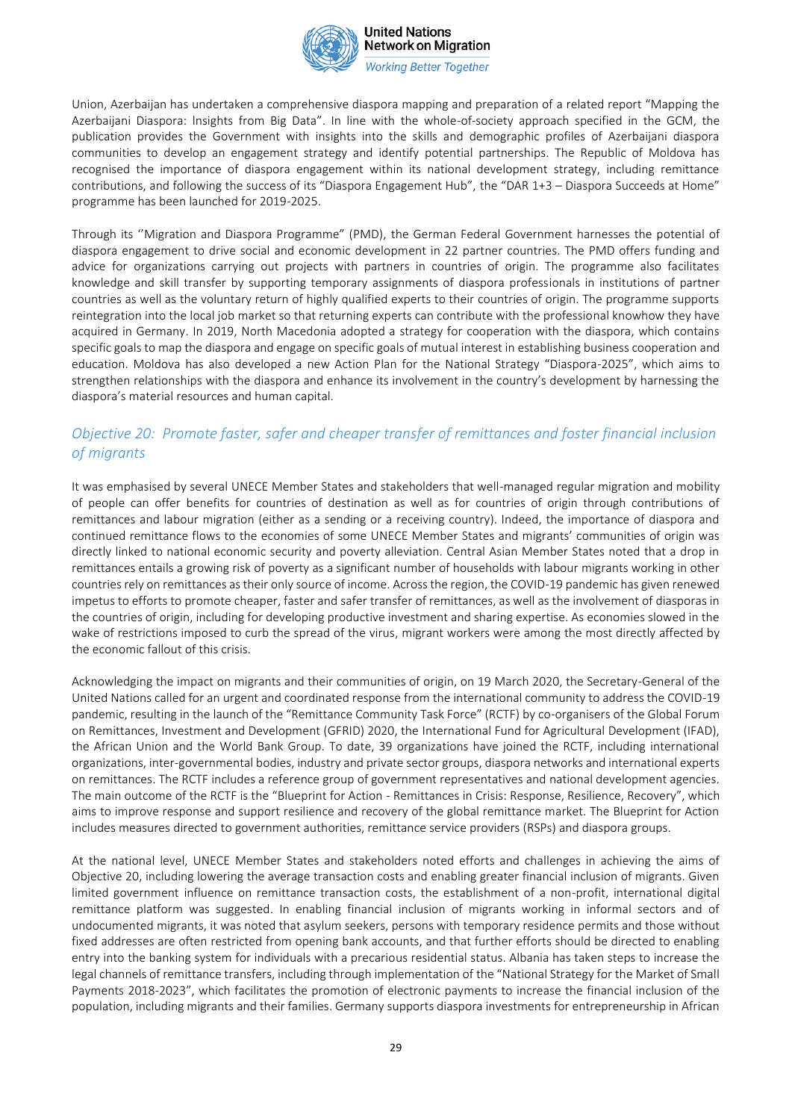

**Working Better Together** 

Union, Azerbaijan has undertaken a comprehensive diaspora mapping and preparation of a related report "Mapping the Azerbaijani Diaspora: lnsights from Big Data". In line with the whole-of-society approach specified in the GCM, the publication provides the Government with insights into the skills and demographic profiles of Azerbaijani diaspora communities to develop an engagement strategy and identify potential partnerships. The Republic of Moldova has recognised the importance of diaspora engagement within its national development strategy, including remittance contributions, and following the success of its "Diaspora Engagement Hub", the "DAR 1+3 – Diaspora Succeeds at Home" programme has been launched for 2019-2025.

Through its ''Migration and Diaspora Programme" (PMD), the German Federal Government harnesses the potential of diaspora engagement to drive social and economic development in 22 partner countries. The PMD offers funding and advice for organizations carrying out projects with partners in countries of origin. The programme also facilitates knowledge and skill transfer by supporting temporary assignments of diaspora professionals in institutions of partner countries as well as the voluntary return of highly qualified experts to their countries of origin. The programme supports reintegration into the local job market so that returning experts can contribute with the professional knowhow they have acquired in Germany. In 2019, North Macedonia adopted a strategy for cooperation with the diaspora, which contains specific goals to map the diaspora and engage on specific goals of mutual interest in establishing business cooperation and education. Moldova has also developed a new Action Plan for the National Strategy "Diaspora-2025", which aims to strengthen relationships with the diaspora and enhance its involvement in the country's development by harnessing the diaspora's material resources and human capital.

# *Objective 20: Promote faster, safer and cheaper transfer of remittances and foster financial inclusion of migrants*

It was emphasised by several UNECE Member States and stakeholders that well-managed regular migration and mobility of people can offer benefits for countries of destination as well as for countries of origin through contributions of remittances and labour migration (either as a sending or a receiving country). Indeed, the importance of diaspora and continued remittance flows to the economies of some UNECE Member States and migrants' communities of origin was directly linked to national economic security and poverty alleviation. Central Asian Member States noted that a drop in remittances entails a growing risk of poverty as a significant number of households with labour migrants working in other countries rely on remittances as their only source of income. Across the region, the COVID-19 pandemic has given renewed impetus to efforts to promote cheaper, faster and safer transfer of remittances, as well as the involvement of diasporas in the countries of origin, including for developing productive investment and sharing expertise. As economies slowed in the wake of restrictions imposed to curb the spread of the virus, migrant workers were among the most directly affected by the economic fallout of this crisis.

Acknowledging the impact on migrants and their communities of origin, on 19 March 2020, the Secretary-General of the United Nations called for an urgent and coordinated response from the international community to address the COVID-19 pandemic, resulting in the launch of the "Remittance Community Task Force" (RCTF) by co-organisers of the Global Forum on Remittances, Investment and Development (GFRID) 2020, the International Fund for Agricultural Development (IFAD), the African Union and the World Bank Group. To date, 39 organizations have joined the RCTF, including international organizations, inter-governmental bodies, industry and private sector groups, diaspora networks and international experts on remittances. The RCTF includes a reference group of government representatives and national development agencies. The main outcome of the RCTF is the "Blueprint for Action - Remittances in Crisis: Response, Resilience, Recovery", which aims to improve response and support resilience and recovery of the global remittance market. The Blueprint for Action includes measures directed to government authorities, remittance service providers (RSPs) and diaspora groups.

At the national level, UNECE Member States and stakeholders noted efforts and challenges in achieving the aims of Objective 20, including lowering the average transaction costs and enabling greater financial inclusion of migrants. Given limited government influence on remittance transaction costs, the establishment of a non-profit, international digital remittance platform was suggested. In enabling financial inclusion of migrants working in informal sectors and of undocumented migrants, it was noted that asylum seekers, persons with temporary residence permits and those without fixed addresses are often restricted from opening bank accounts, and that further efforts should be directed to enabling entry into the banking system for individuals with a precarious residential status. Albania has taken steps to increase the legal channels of remittance transfers, including through implementation of the "National Strategy for the Market of Small Payments 2018-2023", which facilitates the promotion of electronic payments to increase the financial inclusion of the population, including migrants and their families. Germany supports diaspora investments for entrepreneurship in African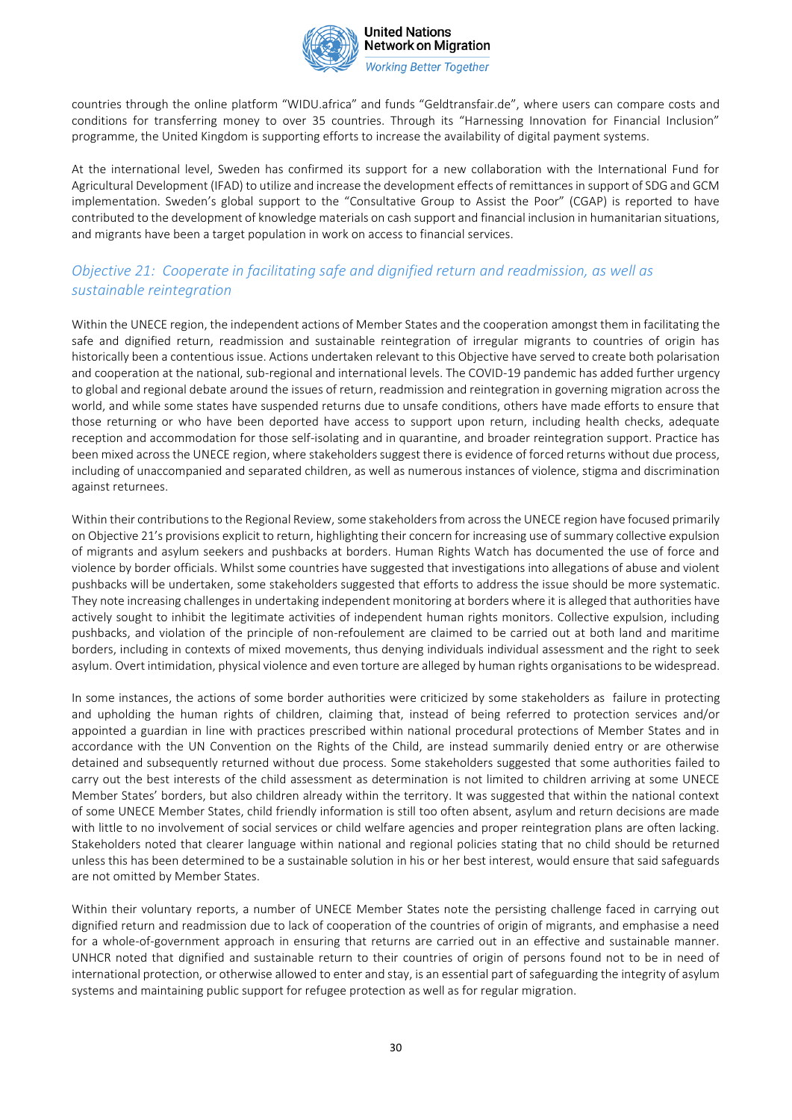

**Working Better Together** 

countries through the online platform "WIDU.africa" and funds "Geldtransfair.de", where users can compare costs and conditions for transferring money to over 35 countries. Through its "Harnessing Innovation for Financial Inclusion" programme, the United Kingdom is supporting efforts to increase the availability of digital payment systems.

At the international level, Sweden has confirmed its support for a new collaboration with the International Fund for Agricultural Development (IFAD) to utilize and increase the development effects of remittances in support of SDG and GCM implementation. Sweden's global support to the "Consultative Group to Assist the Poor" (CGAP) is reported to have contributed to the development of knowledge materials on cash support and financial inclusion in humanitarian situations, and migrants have been a target population in work on access to financial services.

# *Objective 21: Cooperate in facilitating safe and dignified return and readmission, as well as sustainable reintegration*

Within the UNECE region, the independent actions of Member States and the cooperation amongst them in facilitating the safe and dignified return, readmission and sustainable reintegration of irregular migrants to countries of origin has historically been a contentious issue. Actions undertaken relevant to this Objective have served to create both polarisation and cooperation at the national, sub-regional and international levels. The COVID-19 pandemic has added further urgency to global and regional debate around the issues of return, readmission and reintegration in governing migration across the world, and while some states have suspended returns due to unsafe conditions, others have made efforts to ensure that those returning or who have been deported have access to support upon return, including health checks, adequate reception and accommodation for those self-isolating and in quarantine, and broader reintegration support. Practice has been mixed across the UNECE region, where stakeholders suggest there is evidence of forced returns without due process, including of unaccompanied and separated children, as well as numerous instances of violence, stigma and discrimination against returnees.

Within their contributions to the Regional Review, some stakeholders from across the UNECE region have focused primarily on Objective 21's provisions explicit to return, highlighting their concern for increasing use of summary collective expulsion of migrants and asylum seekers and pushbacks at borders. Human Rights Watch has documented the use of force and violence by border officials. Whilst some countries have suggested that investigations into allegations of abuse and violent pushbacks will be undertaken, some stakeholders suggested that efforts to address the issue should be more systematic. They note increasing challenges in undertaking independent monitoring at borders where it is alleged that authorities have actively sought to inhibit the legitimate activities of independent human rights monitors. Collective expulsion, including pushbacks, and violation of the principle of non-refoulement are claimed to be carried out at both land and maritime borders, including in contexts of mixed movements, thus denying individuals individual assessment and the right to seek asylum. Overt intimidation, physical violence and even torture are alleged by human rights organisations to be widespread.

In some instances, the actions of some border authorities were criticized by some stakeholders as failure in protecting and upholding the human rights of children, claiming that, instead of being referred to protection services and/or appointed a guardian in line with practices prescribed within national procedural protections of Member States and in accordance with the UN Convention on the Rights of the Child, are instead summarily denied entry or are otherwise detained and subsequently returned without due process. Some stakeholders suggested that some authorities failed to carry out the best interests of the child assessment as determination is not limited to children arriving at some UNECE Member States' borders, but also children already within the territory. It was suggested that within the national context of some UNECE Member States, child friendly information is still too often absent, asylum and return decisions are made with little to no involvement of social services or child welfare agencies and proper reintegration plans are often lacking. Stakeholders noted that clearer language within national and regional policies stating that no child should be returned unless this has been determined to be a sustainable solution in his or her best interest, would ensure that said safeguards are not omitted by Member States.

Within their voluntary reports, a number of UNECE Member States note the persisting challenge faced in carrying out dignified return and readmission due to lack of cooperation of the countries of origin of migrants, and emphasise a need for a whole-of-government approach in ensuring that returns are carried out in an effective and sustainable manner. UNHCR noted that dignified and sustainable return to their countries of origin of persons found not to be in need of international protection, or otherwise allowed to enter and stay, is an essential part of safeguarding the integrity of asylum systems and maintaining public support for refugee protection as well as for regular migration.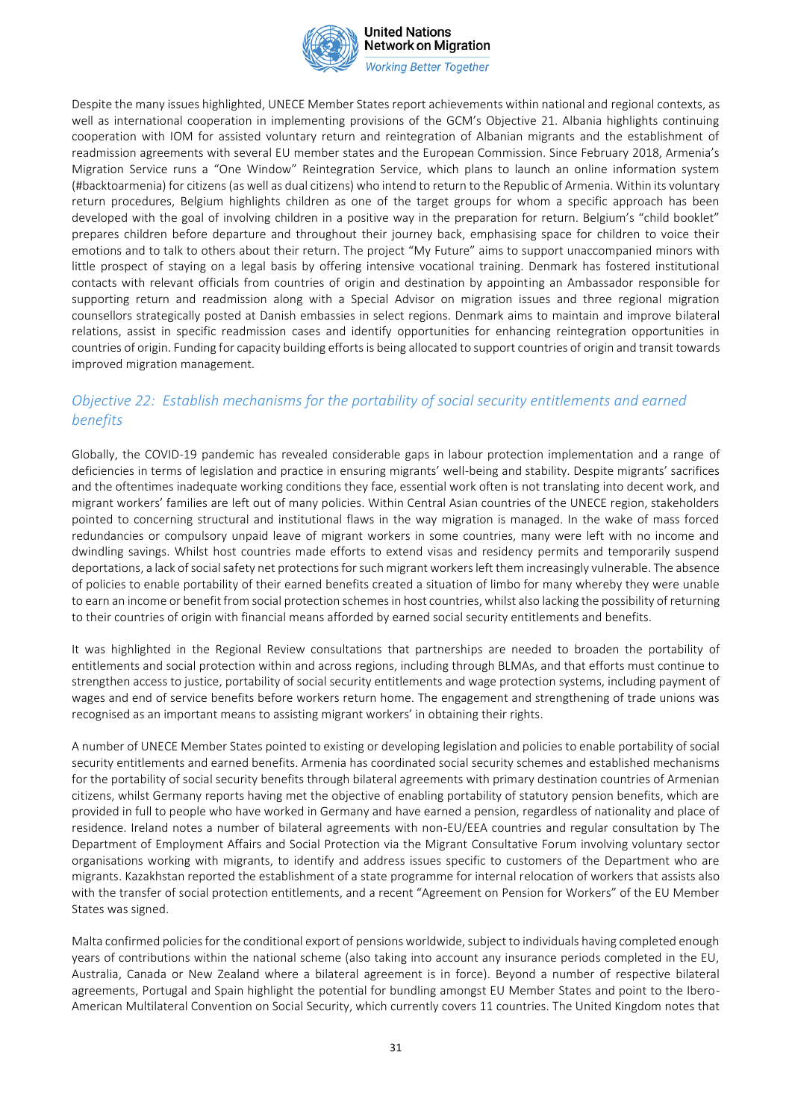

**Working Better Together** 

Despite the many issues highlighted, UNECE Member States report achievements within national and regional contexts, as well as international cooperation in implementing provisions of the GCM's Objective 21. Albania highlights continuing cooperation with IOM for assisted voluntary return and reintegration of Albanian migrants and the establishment of readmission agreements with several EU member states and the European Commission. Since February 2018, Armenia's Migration Service runs a "One Window" Reintegration Service, which plans to launch an online information system (#backtoarmenia) for citizens (as well as dual citizens) who intend to return to the Republic of Armenia. Within its voluntary return procedures, Belgium highlights children as one of the target groups for whom a specific approach has been developed with the goal of involving children in a positive way in the preparation for return. Belgium's "child booklet" prepares children before departure and throughout their journey back, emphasising space for children to voice their emotions and to talk to others about their return. The project "My Future" aims to support unaccompanied minors with little prospect of staying on a legal basis by offering intensive vocational training. Denmark has fostered institutional contacts with relevant officials from countries of origin and destination by appointing an Ambassador responsible for supporting return and readmission along with a Special Advisor on migration issues and three regional migration counsellors strategically posted at Danish embassies in select regions. Denmark aims to maintain and improve bilateral relations, assist in specific readmission cases and identify opportunities for enhancing reintegration opportunities in countries of origin. Funding for capacity building efforts is being allocated to support countries of origin and transit towards improved migration management.

# *Objective 22: Establish mechanisms for the portability of social security entitlements and earned benefits*

Globally, the COVID-19 pandemic has revealed considerable gaps in labour protection implementation and a range of deficiencies in terms of legislation and practice in ensuring migrants' well-being and stability. Despite migrants' sacrifices and the oftentimes inadequate working conditions they face, essential work often is not translating into decent work, and migrant workers' families are left out of many policies. Within Central Asian countries of the UNECE region, stakeholders pointed to concerning structural and institutional flaws in the way migration is managed. In the wake of mass forced redundancies or compulsory unpaid leave of migrant workers in some countries, many were left with no income and dwindling savings. Whilst host countries made efforts to extend visas and residency permits and temporarily suspend deportations, a lack of social safety net protections for such migrant workers left them increasingly vulnerable. The absence of policies to enable portability of their earned benefits created a situation of limbo for many whereby they were unable to earn an income or benefit from social protection schemes in host countries, whilst also lacking the possibility of returning to their countries of origin with financial means afforded by earned social security entitlements and benefits.

It was highlighted in the Regional Review consultations that partnerships are needed to broaden the portability of entitlements and social protection within and across regions, including through BLMAs, and that efforts must continue to strengthen access to justice, portability of social security entitlements and wage protection systems, including payment of wages and end of service benefits before workers return home. The engagement and strengthening of trade unions was recognised as an important means to assisting migrant workers' in obtaining their rights.

A number of UNECE Member States pointed to existing or developing legislation and policies to enable portability of social security entitlements and earned benefits. Armenia has coordinated social security schemes and established mechanisms for the portability of social security benefits through bilateral agreements with primary destination countries of Armenian citizens, whilst Germany reports having met the objective of enabling portability of statutory pension benefits, which are provided in full to people who have worked in Germany and have earned a pension, regardless of nationality and place of residence. Ireland notes a number of bilateral agreements with non-EU/EEA countries and regular consultation by The Department of Employment Affairs and Social Protection via the Migrant Consultative Forum involving voluntary sector organisations working with migrants, to identify and address issues specific to customers of the Department who are migrants. Kazakhstan reported the establishment of a state programme for internal relocation of workers that assists also with the transfer of social protection entitlements, and a recent "Agreement on Pension for Workers" of the EU Member States was signed.

Malta confirmed policies for the conditional export of pensions worldwide, subject to individuals having completed enough years of contributions within the national scheme (also taking into account any insurance periods completed in the EU, Australia, Canada or New Zealand where a bilateral agreement is in force). Beyond a number of respective bilateral agreements, Portugal and Spain highlight the potential for bundling amongst EU Member States and point to the Ibero-American Multilateral Convention on Social Security, which currently covers 11 countries. The United Kingdom notes that